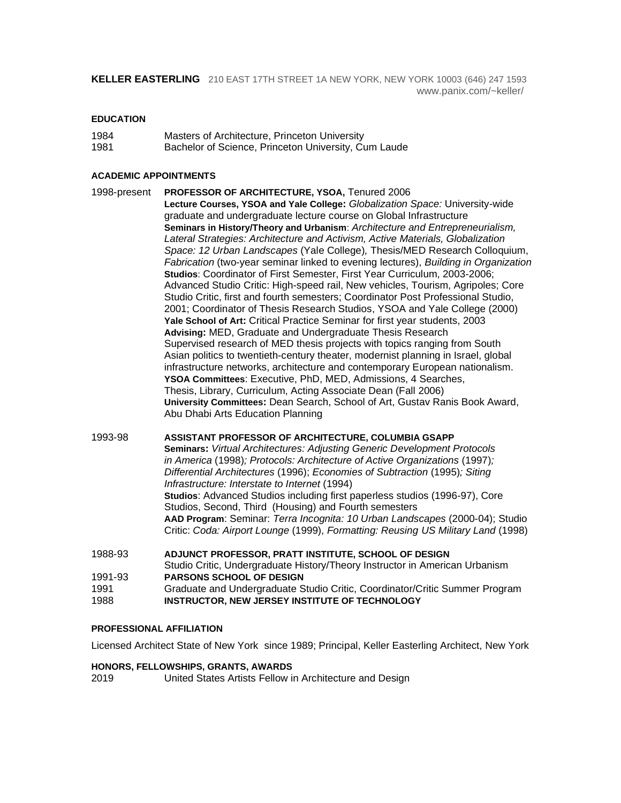**KELLER EASTERLING** 210 EAST 17TH STREET 1A NEW YORK, NEW YORK 10003 (646) 247 1593 [www.panix.com/~keller/](http://www.panix.com/~keller/)

#### **EDUCATION**

| 1984 | Masters of Architecture, Princeton University      |
|------|----------------------------------------------------|
| 1001 | Deskelse of Coiseae, Departed Hairmenity, Cross Le |

1981 Bachelor of Science, Princeton University, Cum Laude

#### **ACADEMIC APPOINTMENTS**

1998-present **PROFESSOR OF ARCHITECTURE, YSOA,** Tenured 2006 **Lecture Courses, YSOA and Yale College:** *Globalization Space:* University-wide graduate and undergraduate lecture course on Global Infrastructure **Seminars in History/Theory and Urbanism**: *Architecture and Entrepreneurialism, Lateral Strategies: Architecture and Activism, Active Materials, Globalization Space: 12 Urban Landscapes* (Yale College)*,* Thesis/MED Research Colloquium, *Fabrication* (two-year seminar linked to evening lectures), *Building in Organization* **Studios**: Coordinator of First Semester, First Year Curriculum, 2003-2006; Advanced Studio Critic: High-speed rail, New vehicles, Tourism, Agripoles; Core Studio Critic, first and fourth semesters; Coordinator Post Professional Studio, 2001; Coordinator of Thesis Research Studios, YSOA and Yale College (2000) Yale School of Art: Critical Practice Seminar for first year students, 2003 **Advising:** MED, Graduate and Undergraduate Thesis Research Supervised research of MED thesis projects with topics ranging from South Asian politics to twentieth-century theater, modernist planning in Israel, global infrastructure networks, architecture and contemporary European nationalism. **YSOA Committees**: Executive, PhD, MED, Admissions, 4 Searches, Thesis, Library, Curriculum, Acting Associate Dean (Fall 2006) **University Committees:** Dean Search, School of Art, Gustav Ranis Book Award, Abu Dhabi Arts Education Planning

1993-98 **ASSISTANT PROFESSOR OF ARCHITECTURE, COLUMBIA GSAPP Seminars:** *Virtual Architectures: Adjusting Generic Development Protocols in America* (1998)*; Protocols: Architecture of Active Organizations* (1997)*; Differential Architectures* (1996); *Economies of Subtraction* (1995)*; Siting Infrastructure: Interstate to Internet* (1994) **Studios**: Advanced Studios including first paperless studios (1996-97), Core Studios, Second, Third (Housing) and Fourth semesters **AAD Program**: Seminar: *Terra Incognita: 10 Urban Landscapes* (2000-04); Studio Critic: *Coda: Airport Lounge* (1999), *Formatting: Reusing US Military Land* (1998)

1988-93 **ADJUNCT PROFESSOR, PRATT INSTITUTE, SCHOOL OF DESIGN**  Studio Critic, Undergraduate History/Theory Instructor in American Urbanism 1991-93 **PARSONS SCHOOL OF DESIGN**  1991 Graduate and Undergraduate Studio Critic, Coordinator/Critic Summer Program 1988 **INSTRUCTOR, NEW JERSEY INSTITUTE OF TECHNOLOGY**

#### **PROFESSIONAL AFFILIATION**

Licensed Architect State of New York since 1989; Principal, Keller Easterling Architect, New York

#### **HONORS, FELLOWSHIPS, GRANTS, AWARDS**

2019 United States Artists Fellow in Architecture and Design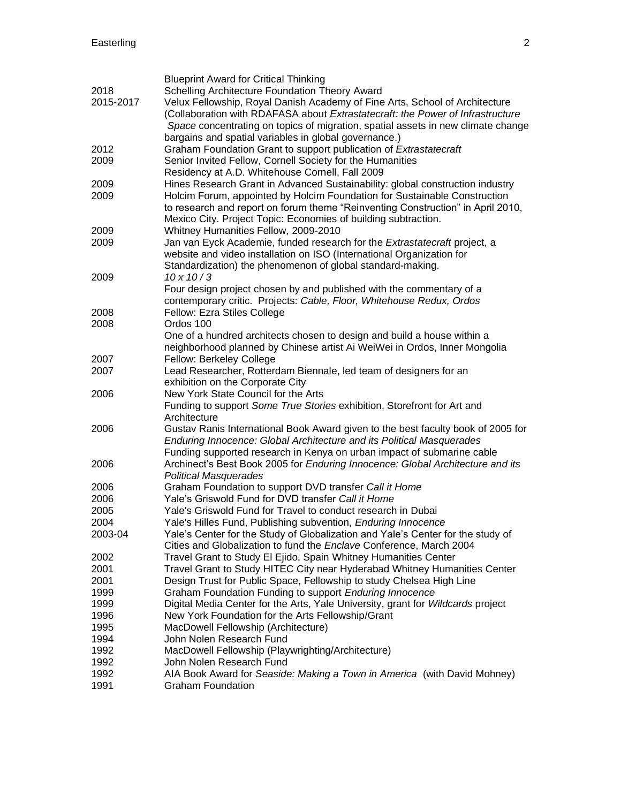|           | <b>Blueprint Award for Critical Thinking</b>                                                                                                 |
|-----------|----------------------------------------------------------------------------------------------------------------------------------------------|
| 2018      | Schelling Architecture Foundation Theory Award                                                                                               |
| 2015-2017 | Velux Fellowship, Royal Danish Academy of Fine Arts, School of Architecture                                                                  |
|           | (Collaboration with RDAFASA about Extrastatecraft: the Power of Infrastructure                                                               |
|           | Space concentrating on topics of migration, spatial assets in new climate change                                                             |
|           | bargains and spatial variables in global governance.)                                                                                        |
| 2012      | Graham Foundation Grant to support publication of Extrastatecraft                                                                            |
| 2009      | Senior Invited Fellow, Cornell Society for the Humanities                                                                                    |
|           | Residency at A.D. Whitehouse Cornell, Fall 2009                                                                                              |
| 2009      | Hines Research Grant in Advanced Sustainability: global construction industry                                                                |
| 2009      | Holcim Forum, appointed by Holcim Foundation for Sustainable Construction                                                                    |
|           | to research and report on forum theme "Reinventing Construction" in April 2010,                                                              |
|           | Mexico City. Project Topic: Economies of building subtraction.                                                                               |
| 2009      | Whitney Humanities Fellow, 2009-2010                                                                                                         |
| 2009      | Jan van Eyck Academie, funded research for the Extrastatecraft project, a                                                                    |
|           | website and video installation on ISO (International Organization for                                                                        |
|           |                                                                                                                                              |
|           | Standardization) the phenomenon of global standard-making.<br>$10 \times 10 / 3$                                                             |
| 2009      |                                                                                                                                              |
|           | Four design project chosen by and published with the commentary of a<br>contemporary critic. Projects: Cable, Floor, Whitehouse Redux, Ordos |
|           |                                                                                                                                              |
| 2008      | Fellow: Ezra Stiles College<br>Ordos 100                                                                                                     |
| 2008      | One of a hundred architects chosen to design and build a house within a                                                                      |
|           | neighborhood planned by Chinese artist Ai WeiWei in Ordos, Inner Mongolia                                                                    |
| 2007      | Fellow: Berkeley College                                                                                                                     |
| 2007      | Lead Researcher, Rotterdam Biennale, led team of designers for an                                                                            |
|           | exhibition on the Corporate City                                                                                                             |
| 2006      | New York State Council for the Arts                                                                                                          |
|           | Funding to support Some True Stories exhibition, Storefront for Art and                                                                      |
|           | Architecture                                                                                                                                 |
| 2006      | Gustav Ranis International Book Award given to the best faculty book of 2005 for                                                             |
|           | Enduring Innocence: Global Architecture and its Political Masquerades                                                                        |
|           | Funding supported research in Kenya on urban impact of submarine cable                                                                       |
| 2006      | Archinect's Best Book 2005 for Enduring Innocence: Global Architecture and its                                                               |
|           | <b>Political Masquerades</b>                                                                                                                 |
| 2006      | Graham Foundation to support DVD transfer Call it Home                                                                                       |
| 2006      | Yale's Griswold Fund for DVD transfer Call it Home                                                                                           |
| 2005      | Yale's Griswold Fund for Travel to conduct research in Dubai                                                                                 |
| 2004      | Yale's Hilles Fund, Publishing subvention, Enduring Innocence                                                                                |
| 2003-04   | Yale's Center for the Study of Globalization and Yale's Center for the study of                                                              |
|           | Cities and Globalization to fund the Enclave Conference, March 2004                                                                          |
| 2002      | Travel Grant to Study El Ejido, Spain Whitney Humanities Center                                                                              |
| 2001      | Travel Grant to Study HITEC City near Hyderabad Whitney Humanities Center                                                                    |
| 2001      | Design Trust for Public Space, Fellowship to study Chelsea High Line                                                                         |
| 1999      | Graham Foundation Funding to support Enduring Innocence                                                                                      |
| 1999      | Digital Media Center for the Arts, Yale University, grant for Wildcards project                                                              |
| 1996      | New York Foundation for the Arts Fellowship/Grant                                                                                            |
| 1995      | MacDowell Fellowship (Architecture)                                                                                                          |
| 1994      | John Nolen Research Fund                                                                                                                     |
| 1992      | MacDowell Fellowship (Playwrighting/Architecture)                                                                                            |
| 1992      | John Nolen Research Fund                                                                                                                     |
| 1992      | AIA Book Award for Seaside: Making a Town in America (with David Mohney)                                                                     |
| 1991      | <b>Graham Foundation</b>                                                                                                                     |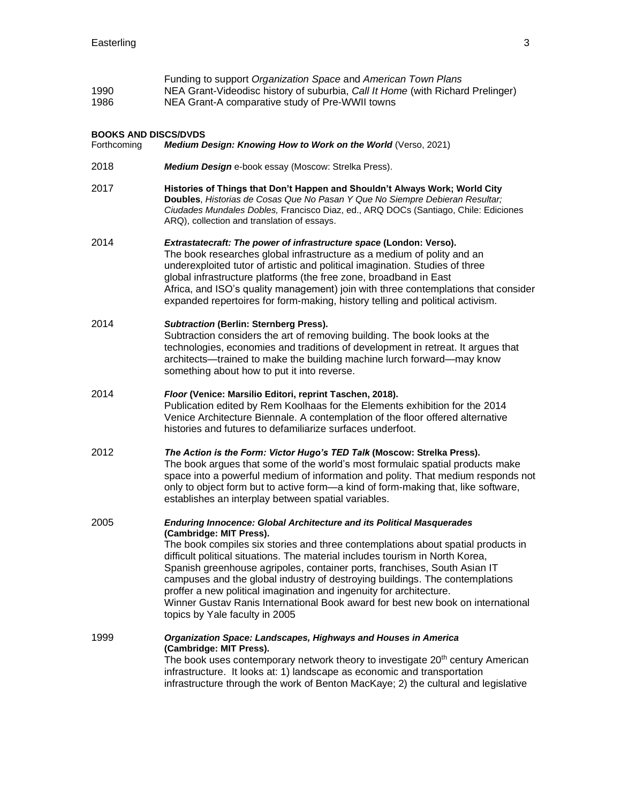| 1990<br>1986                               | Funding to support Organization Space and American Town Plans<br>NEA Grant-Videodisc history of suburbia, Call It Home (with Richard Prelinger)<br>NEA Grant-A comparative study of Pre-WWII towns                                                                                                                                                                                                                                                                                                                                                                                                                                    |
|--------------------------------------------|---------------------------------------------------------------------------------------------------------------------------------------------------------------------------------------------------------------------------------------------------------------------------------------------------------------------------------------------------------------------------------------------------------------------------------------------------------------------------------------------------------------------------------------------------------------------------------------------------------------------------------------|
| <b>BOOKS AND DISCS/DVDS</b><br>Forthcoming | Medium Design: Knowing How to Work on the World (Verso, 2021)                                                                                                                                                                                                                                                                                                                                                                                                                                                                                                                                                                         |
| 2018                                       | Medium Design e-book essay (Moscow: Strelka Press).                                                                                                                                                                                                                                                                                                                                                                                                                                                                                                                                                                                   |
| 2017                                       | Histories of Things that Don't Happen and Shouldn't Always Work; World City<br>Doubles, Historias de Cosas Que No Pasan Y Que No Siempre Debieran Resultar;<br>Ciudades Mundales Dobles, Francisco Diaz, ed., ARQ DOCs (Santiago, Chile: Ediciones<br>ARQ), collection and translation of essays.                                                                                                                                                                                                                                                                                                                                     |
| 2014                                       | Extrastatecraft: The power of infrastructure space (London: Verso).<br>The book researches global infrastructure as a medium of polity and an<br>underexploited tutor of artistic and political imagination. Studies of three<br>global infrastructure platforms (the free zone, broadband in East<br>Africa, and ISO's quality management) join with three contemplations that consider<br>expanded repertoires for form-making, history telling and political activism.                                                                                                                                                             |
| 2014                                       | <b>Subtraction (Berlin: Sternberg Press).</b><br>Subtraction considers the art of removing building. The book looks at the<br>technologies, economies and traditions of development in retreat. It argues that<br>architects—trained to make the building machine lurch forward—may know<br>something about how to put it into reverse.                                                                                                                                                                                                                                                                                               |
| 2014                                       | Floor (Venice: Marsilio Editori, reprint Taschen, 2018).<br>Publication edited by Rem Koolhaas for the Elements exhibition for the 2014<br>Venice Architecture Biennale. A contemplation of the floor offered alternative<br>histories and futures to defamiliarize surfaces underfoot.                                                                                                                                                                                                                                                                                                                                               |
| 2012                                       | The Action is the Form: Victor Hugo's TED Talk (Moscow: Strelka Press).<br>The book argues that some of the world's most formulaic spatial products make<br>space into a powerful medium of information and polity. That medium responds not<br>only to object form but to active form-a kind of form-making that, like software,<br>establishes an interplay between spatial variables.                                                                                                                                                                                                                                              |
| 2005                                       | <b>Enduring Innocence: Global Architecture and its Political Masquerades</b><br>(Cambridge: MIT Press).<br>The book compiles six stories and three contemplations about spatial products in<br>difficult political situations. The material includes tourism in North Korea,<br>Spanish greenhouse agripoles, container ports, franchises, South Asian IT<br>campuses and the global industry of destroying buildings. The contemplations<br>proffer a new political imagination and ingenuity for architecture.<br>Winner Gustav Ranis International Book award for best new book on international<br>topics by Yale faculty in 2005 |
| 1999                                       | Organization Space: Landscapes, Highways and Houses in America<br>(Cambridge: MIT Press).<br>The book uses contemporary network theory to investigate 20 <sup>th</sup> century American<br>infrastructure. It looks at: 1) landscape as economic and transportation<br>infrastructure through the work of Benton MacKaye; 2) the cultural and legislative                                                                                                                                                                                                                                                                             |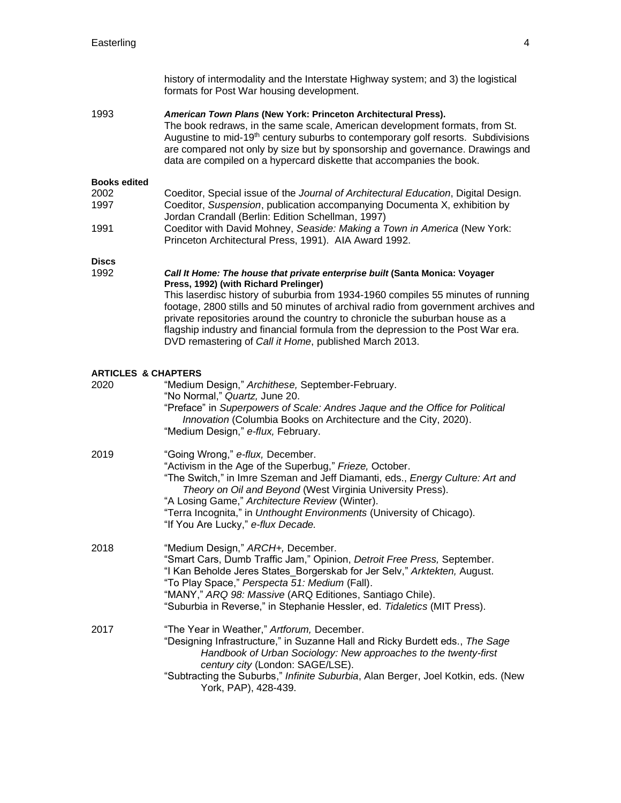**Discs**

history of intermodality and the Interstate Highway system; and 3) the logistical formats for Post War housing development. 1993 *American Town Plans* **(New York: Princeton Architectural Press).** The book redraws, in the same scale, American development formats, from St. Augustine to mid-19<sup>th</sup> century suburbs to contemporary golf resorts. Subdivisions are compared not only by size but by sponsorship and governance. Drawings and data are compiled on a hypercard diskette that accompanies the book. **Books edited**  2002 Coeditor, Special issue of the *Journal of Architectural Education*, Digital Design. 1997 Coeditor, *Suspension*, publication accompanying Documenta X, exhibition by Jordan Crandall (Berlin: Edition Schellman, 1997) 1991 Coeditor with David Mohney, *Seaside: Making a Town in America* (New York: Princeton Architectural Press, 1991). AIA Award 1992. 1992 *Call It Home: The house that private enterprise built* **(Santa Monica: Voyager Press, 1992) (with Richard Prelinger)**  This laserdisc history of suburbia from 1934-1960 compiles 55 minutes of running footage, 2800 stills and 50 minutes of archival radio from government archives and private repositories around the country to chronicle the suburban house as a flagship industry and financial formula from the depression to the Post War era. DVD remastering of *Call it Home*, published March 2013.

#### **ARTICLES & CHAPTERS**

| 2020 | "Medium Design," Archithese, September-February.<br>"No Normal," Quartz, June 20.<br>"Preface" in Superpowers of Scale: Andres Jaque and the Office for Political<br>Innovation (Columbia Books on Architecture and the City, 2020).<br>"Medium Design," e-flux, February.                                                                                                                                  |
|------|-------------------------------------------------------------------------------------------------------------------------------------------------------------------------------------------------------------------------------------------------------------------------------------------------------------------------------------------------------------------------------------------------------------|
| 2019 | "Going Wrong," e-flux, December.<br>"Activism in the Age of the Superbug," Frieze, October.<br>"The Switch," in Imre Szeman and Jeff Diamanti, eds., Energy Culture: Art and<br>Theory on Oil and Beyond (West Virginia University Press).<br>"A Losing Game," Architecture Review (Winter).<br>"Terra Incognita," in Unthought Environments (University of Chicago).<br>"If You Are Lucky," e-flux Decade. |
| 2018 | "Medium Design," ARCH+, December.<br>"Smart Cars, Dumb Traffic Jam," Opinion, Detroit Free Press, September.<br>"I Kan Beholde Jeres States_Borgerskab for Jer Selv," Arktekten, August.<br>"To Play Space," Perspecta 51: Medium (Fall).<br>"MANY," ARQ 98: Massive (ARQ Editiones, Santiago Chile).<br>"Suburbia in Reverse," in Stephanie Hessler, ed. Tidaletics (MIT Press).                           |
| 2017 | "The Year in Weather," Artforum, December.<br>"Designing Infrastructure," in Suzanne Hall and Ricky Burdett eds., The Sage<br>Handbook of Urban Sociology: New approaches to the twenty-first<br>century city (London: SAGE/LSE).<br>"Subtracting the Suburbs," Infinite Suburbia, Alan Berger, Joel Kotkin, eds. (New<br>York, PAP), 428-439.                                                              |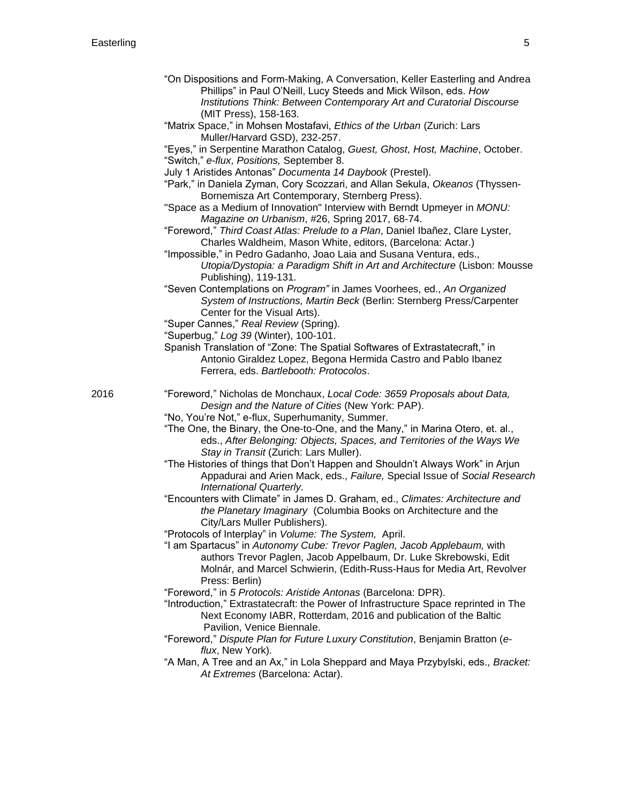- "On Dispositions and Form-Making, A Conversation, Keller Easterling and Andrea Phillips" in Paul O'Neill, Lucy Steeds and Mick Wilson, eds. *How Institutions Think: Between Contemporary Art and Curatorial Discourse*  (MIT Press), 158-163.
- "Matrix Space," in Mohsen Mostafavi, *Ethics of the Urban* (Zurich: Lars Muller/Harvard GSD), 232-257.
- "Eyes," in Serpentine Marathon Catalog, *Guest, Ghost, Host, Machine*, October. "Switch," *e-flux, Positions,* September 8.
- July 1 Aristides Antonas" *Documenta 14 Daybook* (Prestel).
- "Park," in Daniela Zyman, Cory Scozzari, and Allan Sekula, *Okeanos* (Thyssen-Bornemisza Art Contemporary, Sternberg Press).
- "Space as a Medium of Innovation" Interview with Berndt Upmeyer in *MONU: Magazine on Urbanism*, #26, Spring 2017, 68-74.
- "Foreword," *Third Coast Atlas: Prelude to a Plan*, Daniel Ibañez, Clare Lyster, Charles Waldheim, Mason White, editors, (Barcelona: Actar.)
- "Impossible," in Pedro Gadanho, Joao Laia and Susana Ventura, eds., *Utopia/Dystopia: a Paradigm Shift in Art and Architecture* (Lisbon: Mousse Publishing), 119-131.
- "Seven Contemplations on *Program"* in James Voorhees, ed., *An Organized System of Instructions, Martin Beck* (Berlin: Sternberg Press/Carpenter Center for the Visual Arts).
- "Super Cannes," *Real Review* (Spring).
- "Superbug," *Log 39* (Winter), 100-101.
- Spanish Translation of "Zone: The Spatial Softwares of Extrastatecraft," in Antonio Giraldez Lopez, Begona Hermida Castro and Pablo Ibanez Ferrera, eds. *Bartlebooth: Protocolos*.

- 2016 "Foreword," Nicholas de Monchaux, *Local Code: 3659 Proposals about Data, Design and the Nature of Cities* (New York: PAP).
	- "No, You're Not," e-flux, Superhumanity, Summer.
	- "The One, the Binary, the One-to-One, and the Many," in Marina Otero, et. al., eds., *After Belonging: Objects, Spaces, and Territories of the Ways We Stay in Transit* (Zurich: Lars Muller).
	- "The Histories of things that Don't Happen and Shouldn't Always Work" in Arjun Appadurai and Arien Mack, eds., *Failure,* Special Issue of *Social Research International Quarterly.*
	- "Encounters with Climate" in James D. Graham, ed., *Climates: Architecture and the Planetary Imaginary* (Columbia Books on Architecture and the City/Lars Muller Publishers).
	- "Protocols of Interplay" in *Volume: The System,* April.
	- "I am Spartacus" in *Autonomy Cube: Trevor Paglen, Jacob Applebaum,* with authors Trevor Paglen, Jacob Appelbaum, Dr. Luke Skrebowski, Edit Molnár, and Marcel Schwierin, (Edith-Russ-Haus for Media Art, Revolver Press: Berlin)
	- "Foreword," in *5 Protocols: Aristide Antonas* (Barcelona: DPR).
	- "Introduction," Extrastatecraft: the Power of Infrastructure Space reprinted in The Next Economy IABR, Rotterdam, 2016 and publication of the Baltic Pavilion, Venice Biennale.
	- "Foreword," *Dispute Plan for Future Luxury Constitution*, Benjamin Bratton (*eflux*, New York).
	- "A Man, A Tree and an Ax," in Lola Sheppard and Maya Przybylski, eds., *Bracket: At Extremes* (Barcelona: Actar).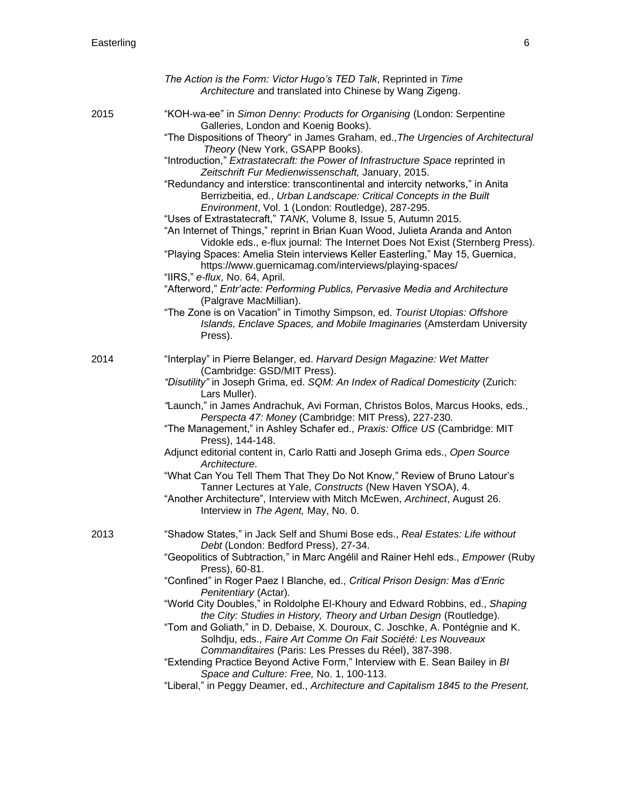|      | The Action is the Form: Victor Hugo's TED Talk, Reprinted in Time<br>Architecture and translated into Chinese by Wang Zigeng.                                                                                                                                                                                                                                                                                                                                                                                                                                                                                                                                                                                                                                                                                                                                                                                                                                                                                                                                                                                                                                                                                                                                                                 |
|------|-----------------------------------------------------------------------------------------------------------------------------------------------------------------------------------------------------------------------------------------------------------------------------------------------------------------------------------------------------------------------------------------------------------------------------------------------------------------------------------------------------------------------------------------------------------------------------------------------------------------------------------------------------------------------------------------------------------------------------------------------------------------------------------------------------------------------------------------------------------------------------------------------------------------------------------------------------------------------------------------------------------------------------------------------------------------------------------------------------------------------------------------------------------------------------------------------------------------------------------------------------------------------------------------------|
| 2015 | "KOH-wa-ee" in Simon Denny: Products for Organising (London: Serpentine<br>Galleries, London and Koenig Books).<br>"The Dispositions of Theory" in James Graham, ed., The Urgencies of Architectural<br>Theory (New York, GSAPP Books).<br>"Introduction," Extrastatecraft: the Power of Infrastructure Space reprinted in<br>Zeitschrift Fur Medienwissenschaft, January, 2015.<br>"Redundancy and interstice: transcontinental and intercity networks," in Anita<br>Berrizbeitia, ed., Urban Landscape: Critical Concepts in the Built<br>Environment, Vol. 1 (London: Routledge), 287-295.<br>"Uses of Extrastatecraft," TANK, Volume 8, Issue 5, Autumn 2015.<br>"An Internet of Things," reprint in Brian Kuan Wood, Julieta Aranda and Anton<br>Vidokle eds., e-flux journal: The Internet Does Not Exist (Sternberg Press).<br>"Playing Spaces: Amelia Stein interviews Keller Easterling," May 15, Guernica,<br>https://www.guernicamag.com/interviews/playing-spaces/<br>"IIRS," e-flux, No. 64, April.<br>"Afterword," Entr'acte: Performing Publics, Pervasive Media and Architecture<br>(Palgrave MacMillian).<br>"The Zone is on Vacation" in Timothy Simpson, ed. Tourist Utopias: Offshore<br>Islands, Enclave Spaces, and Mobile Imaginaries (Amsterdam University<br>Press). |
| 2014 | "Interplay" in Pierre Belanger, ed. Harvard Design Magazine: Wet Matter<br>(Cambridge: GSD/MIT Press).<br>"Disutility" in Joseph Grima, ed. SQM: An Index of Radical Domesticity (Zurich:<br>Lars Muller).<br>"Launch," in James Andrachuk, Avi Forman, Christos Bolos, Marcus Hooks, eds.,<br>Perspecta 47: Money (Cambridge: MIT Press), 227-230.<br>"The Management," in Ashley Schafer ed., Praxis: Office US (Cambridge: MIT<br>Press), 144-148.<br>Adjunct editorial content in, Carlo Ratti and Joseph Grima eds., Open Source<br>Architecture.<br>"What Can You Tell Them That They Do Not Know," Review of Bruno Latour's<br>Tanner Lectures at Yale, Constructs (New Haven YSOA), 4.<br>"Another Architecture", Interview with Mitch McEwen, Archinect, August 26.<br>Interview in The Agent, May, No. 0.                                                                                                                                                                                                                                                                                                                                                                                                                                                                           |
| 2013 | "Shadow States," in Jack Self and Shumi Bose eds., Real Estates: Life without<br>Debt (London: Bedford Press), 27-34.<br>"Geopolitics of Subtraction," in Marc Angélil and Rainer Hehl eds., Empower (Ruby<br>Press), 60-81.<br>"Confined" in Roger Paez I Blanche, ed., Critical Prison Design: Mas d'Enric<br>Penitentiary (Actar).<br>"World City Doubles," in Roldolphe El-Khoury and Edward Robbins, ed., Shaping<br>the City: Studies in History, Theory and Urban Design (Routledge).<br>"Tom and Goliath," in D. Debaise, X. Douroux, C. Joschke, A. Pontégnie and K.<br>Solhdju, eds., Faire Art Comme On Fait Société: Les Nouveaux<br>Commanditaires (Paris: Les Presses du Réel), 387-398.<br>"Extending Practice Beyond Active Form," Interview with E. Sean Bailey in BI<br>Space and Culture: Free, No. 1, 100-113.<br>"Liberal," in Peggy Deamer, ed., Architecture and Capitalism 1845 to the Present,                                                                                                                                                                                                                                                                                                                                                                       |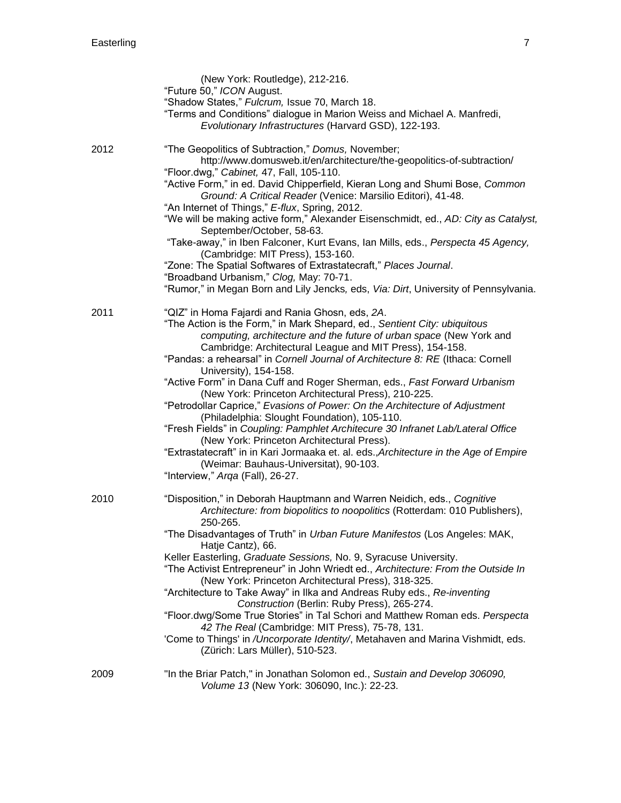|      | (New York: Routledge), 212-216.<br>"Future 50," ICON August.<br>"Shadow States," Fulcrum, Issue 70, March 18.<br>"Terms and Conditions" dialogue in Marion Weiss and Michael A. Manfredi,<br>Evolutionary Infrastructures (Harvard GSD), 122-193.                                                                                                                                                                                                                                                                                                                                                                                                                                                                                                                                                                                                                                                                                                      |
|------|--------------------------------------------------------------------------------------------------------------------------------------------------------------------------------------------------------------------------------------------------------------------------------------------------------------------------------------------------------------------------------------------------------------------------------------------------------------------------------------------------------------------------------------------------------------------------------------------------------------------------------------------------------------------------------------------------------------------------------------------------------------------------------------------------------------------------------------------------------------------------------------------------------------------------------------------------------|
| 2012 | "The Geopolitics of Subtraction," Domus, November;<br>http://www.domusweb.it/en/architecture/the-geopolitics-of-subtraction/<br>"Floor.dwg," Cabinet, 47, Fall, 105-110.<br>"Active Form," in ed. David Chipperfield, Kieran Long and Shumi Bose, Common<br>Ground: A Critical Reader (Venice: Marsilio Editori), 41-48.<br>"An Internet of Things," E-flux, Spring, 2012.<br>"We will be making active form," Alexander Eisenschmidt, ed., AD: City as Catalyst,<br>September/October, 58-63.<br>"Take-away," in Iben Falconer, Kurt Evans, Ian Mills, eds., Perspecta 45 Agency,<br>(Cambridge: MIT Press), 153-160.<br>"Zone: The Spatial Softwares of Extrastatecraft," Places Journal.<br>"Broadband Urbanism," Clog, May: 70-71.<br>"Rumor," in Megan Born and Lily Jencks, eds, Via: Dirt, University of Pennsylvania.                                                                                                                          |
| 2011 | "QIZ" in Homa Fajardi and Rania Ghosn, eds, 2A.<br>"The Action is the Form," in Mark Shepard, ed., Sentient City: ubiquitous<br>computing, architecture and the future of urban space (New York and<br>Cambridge: Architectural League and MIT Press), 154-158.<br>"Pandas: a rehearsal" in Cornell Journal of Architecture 8: RE (Ithaca: Cornell<br>University), 154-158.<br>"Active Form" in Dana Cuff and Roger Sherman, eds., Fast Forward Urbanism<br>(New York: Princeton Architectural Press), 210-225.<br>"Petrodollar Caprice," Evasions of Power: On the Architecture of Adjustment<br>(Philadelphia: Slought Foundation), 105-110.<br>"Fresh Fields" in Coupling: Pamphlet Architecure 30 Infranet Lab/Lateral Office<br>(New York: Princeton Architectural Press).<br>"Extrastatecraft" in in Kari Jormaaka et. al. eds., Architecture in the Age of Empire<br>(Weimar: Bauhaus-Universitat), 90-103.<br>"Interview," Arga (Fall), 26-27. |
| 2010 | "Disposition," in Deborah Hauptmann and Warren Neidich, eds., Cognitive<br>Architecture: from biopolitics to noopolitics (Rotterdam: 010 Publishers),<br>250-265.<br>"The Disadvantages of Truth" in Urban Future Manifestos (Los Angeles: MAK,<br>Hatje Cantz), 66.<br>Keller Easterling, Graduate Sessions, No. 9, Syracuse University.<br>"The Activist Entrepreneur" in John Wriedt ed., Architecture: From the Outside In<br>(New York: Princeton Architectural Press), 318-325.<br>"Architecture to Take Away" in Ilka and Andreas Ruby eds., Re-inventing<br>Construction (Berlin: Ruby Press), 265-274.<br>"Floor.dwg/Some True Stories" in Tal Schori and Matthew Roman eds. Perspecta<br>42 The Real (Cambridge: MIT Press), 75-78, 131.<br>'Come to Things' in /Uncorporate Identity/, Metahaven and Marina Vishmidt, eds.<br>(Zürich: Lars Müller), 510-523.                                                                               |
| 2009 | "In the Briar Patch," in Jonathan Solomon ed., Sustain and Develop 306090,<br>Volume 13 (New York: 306090, Inc.): 22-23.                                                                                                                                                                                                                                                                                                                                                                                                                                                                                                                                                                                                                                                                                                                                                                                                                               |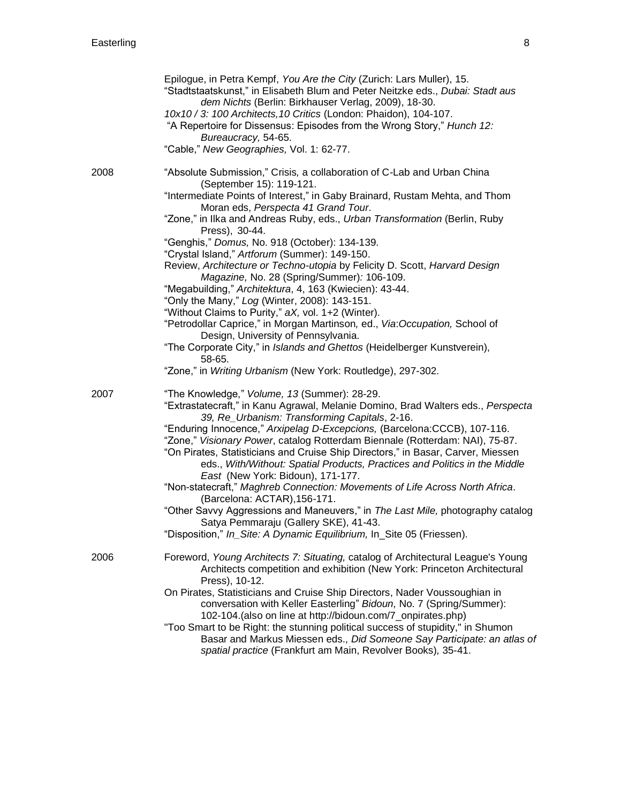|      | Epilogue, in Petra Kempf, You Are the City (Zurich: Lars Muller), 15.<br>"Stadtstaatskunst," in Elisabeth Blum and Peter Neitzke eds., Dubai: Stadt aus<br>dem Nichts (Berlin: Birkhauser Verlag, 2009), 18-30.<br>10x10 / 3: 100 Architects, 10 Critics (London: Phaidon), 104-107.<br>"A Repertoire for Dissensus: Episodes from the Wrong Story," Hunch 12:<br>Bureaucracy, 54-65.<br>"Cable," New Geographies, Vol. 1: 62-77.                                                                                                                                                                                                                                                                                                                                                                                                                                                                                                                                                                    |
|------|------------------------------------------------------------------------------------------------------------------------------------------------------------------------------------------------------------------------------------------------------------------------------------------------------------------------------------------------------------------------------------------------------------------------------------------------------------------------------------------------------------------------------------------------------------------------------------------------------------------------------------------------------------------------------------------------------------------------------------------------------------------------------------------------------------------------------------------------------------------------------------------------------------------------------------------------------------------------------------------------------|
| 2008 | "Absolute Submission," Crisis, a collaboration of C-Lab and Urban China<br>(September 15): 119-121.<br>"Intermediate Points of Interest," in Gaby Brainard, Rustam Mehta, and Thom<br>Moran eds, Perspecta 41 Grand Tour.<br>"Zone," in Ilka and Andreas Ruby, eds., Urban Transformation (Berlin, Ruby<br>Press), 30-44.<br>"Genghis," Domus, No. 918 (October): 134-139.<br>"Crystal Island," Artforum (Summer): 149-150.<br>Review, Architecture or Techno-utopia by Felicity D. Scott, Harvard Design<br>Magazine, No. 28 (Spring/Summer): 106-109.<br>"Megabuilding," Architektura, 4, 163 (Kwiecien): 43-44.<br>"Only the Many," Log (Winter, 2008): 143-151.<br>"Without Claims to Purity," aX, vol. 1+2 (Winter).<br>"Petrodollar Caprice," in Morgan Martinson, ed., Via: Occupation, School of<br>Design, University of Pennsylvania.<br>"The Corporate City," in Islands and Ghettos (Heidelberger Kunstverein),<br>58-65.<br>"Zone," in Writing Urbanism (New York: Routledge), 297-302. |
| 2007 | "The Knowledge," Volume, 13 (Summer): 28-29.<br>"Extrastatecraft," in Kanu Agrawal, Melanie Domino, Brad Walters eds., Perspecta<br>39, Re_Urbanism: Transforming Capitals, 2-16.<br>"Enduring Innocence," Arxipelag D-Excepcions, (Barcelona:CCCB), 107-116.<br>"Zone," Visionary Power, catalog Rotterdam Biennale (Rotterdam: NAI), 75-87.<br>"On Pirates, Statisticians and Cruise Ship Directors," in Basar, Carver, Miessen<br>eds., With/Without: Spatial Products, Practices and Politics in the Middle<br>East (New York: Bidoun), 171-177.<br>"Non-statecraft," Maghreb Connection: Movements of Life Across North Africa.<br>(Barcelona: ACTAR), 156-171.<br>"Other Savvy Aggressions and Maneuvers," in The Last Mile, photography catalog<br>Satya Pemmaraju (Gallery SKE), 41-43.<br>"Disposition," In_Site: A Dynamic Equilibrium, In_Site 05 (Friessen).                                                                                                                             |
| 2006 | Foreword, Young Architects 7: Situating, catalog of Architectural League's Young<br>Architects competition and exhibition (New York: Princeton Architectural<br>Press), 10-12.<br>On Pirates, Statisticians and Cruise Ship Directors, Nader Voussoughian in<br>conversation with Keller Easterling" Bidoun, No. 7 (Spring/Summer):<br>102-104.(also on line at http://bidoun.com/7_onpirates.php)<br>"Too Smart to be Right: the stunning political success of stupidity," in Shumon<br>Basar and Markus Miessen eds., Did Someone Say Participate: an atlas of<br>spatial practice (Frankfurt am Main, Revolver Books), 35-41.                                                                                                                                                                                                                                                                                                                                                                     |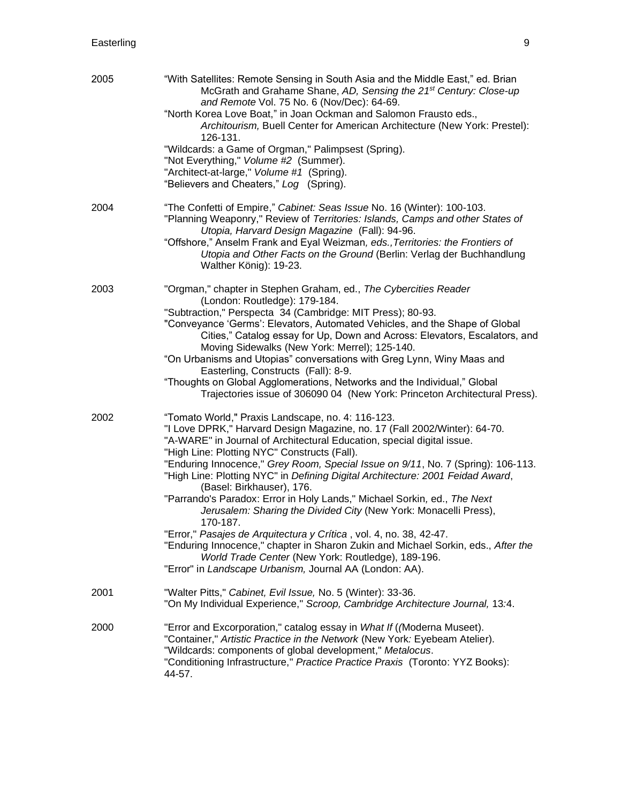| 2005 | "With Satellites: Remote Sensing in South Asia and the Middle East," ed. Brian<br>McGrath and Grahame Shane, AD, Sensing the 21 <sup>st</sup> Century: Close-up<br>and Remote Vol. 75 No. 6 (Nov/Dec): 64-69.<br>"North Korea Love Boat," in Joan Ockman and Salomon Frausto eds.,<br>Architourism, Buell Center for American Architecture (New York: Prestel):<br>126-131.                                                                                                                                                                                                                                                                                                                                                                                                                                                                                                                         |
|------|-----------------------------------------------------------------------------------------------------------------------------------------------------------------------------------------------------------------------------------------------------------------------------------------------------------------------------------------------------------------------------------------------------------------------------------------------------------------------------------------------------------------------------------------------------------------------------------------------------------------------------------------------------------------------------------------------------------------------------------------------------------------------------------------------------------------------------------------------------------------------------------------------------|
|      | "Wildcards: a Game of Orgman," Palimpsest (Spring).<br>"Not Everything," Volume #2 (Summer).<br>"Architect-at-large," Volume #1 (Spring).<br>"Believers and Cheaters," Log (Spring).                                                                                                                                                                                                                                                                                                                                                                                                                                                                                                                                                                                                                                                                                                                |
| 2004 | "The Confetti of Empire," Cabinet: Seas Issue No. 16 (Winter): 100-103.<br>"Planning Weaponry," Review of Territories: Islands, Camps and other States of<br>Utopia, Harvard Design Magazine (Fall): 94-96.<br>"Offshore," Anselm Frank and Eyal Weizman, eds., Territories: the Frontiers of<br>Utopia and Other Facts on the Ground (Berlin: Verlag der Buchhandlung<br>Walther König): 19-23.                                                                                                                                                                                                                                                                                                                                                                                                                                                                                                    |
| 2003 | "Orgman," chapter in Stephen Graham, ed., The Cybercities Reader<br>(London: Routledge): 179-184.<br>"Subtraction," Perspecta 34 (Cambridge: MIT Press); 80-93.<br>"Conveyance 'Germs': Elevators, Automated Vehicles, and the Shape of Global<br>Cities," Catalog essay for Up, Down and Across: Elevators, Escalators, and<br>Moving Sidewalks (New York: Merrel); 125-140.<br>"On Urbanisms and Utopias" conversations with Greg Lynn, Winy Maas and<br>Easterling, Constructs (Fall): 8-9.<br>"Thoughts on Global Agglomerations, Networks and the Individual," Global<br>Trajectories issue of 306090 04 (New York: Princeton Architectural Press).                                                                                                                                                                                                                                            |
| 2002 | "Tomato World," Praxis Landscape, no. 4: 116-123.<br>"I Love DPRK," Harvard Design Magazine, no. 17 (Fall 2002/Winter): 64-70.<br>"A-WARE" in Journal of Architectural Education, special digital issue.<br>"High Line: Plotting NYC" Constructs (Fall).<br>"Enduring Innocence," Grey Room, Special Issue on 9/11, No. 7 (Spring): 106-113.<br>"High Line: Plotting NYC" in Defining Digital Architecture: 2001 Feidad Award,<br>(Basel: Birkhauser), 176.<br>"Parrando's Paradox: Error in Holy Lands," Michael Sorkin, ed., The Next<br>Jerusalem: Sharing the Divided City (New York: Monacelli Press),<br>170-187.<br>"Error," Pasajes de Arquitectura y Crítica, vol. 4, no. 38, 42-47.<br>"Enduring Innocence," chapter in Sharon Zukin and Michael Sorkin, eds., After the<br>World Trade Center (New York: Routledge), 189-196.<br>"Error" in Landscape Urbanism, Journal AA (London: AA). |
| 2001 | "Walter Pitts," Cabinet, Evil Issue, No. 5 (Winter): 33-36.<br>"On My Individual Experience," Scroop, Cambridge Architecture Journal, 13:4.                                                                                                                                                                                                                                                                                                                                                                                                                                                                                                                                                                                                                                                                                                                                                         |
| 2000 | "Error and Excorporation," catalog essay in What If (Moderna Museet).<br>"Container," Artistic Practice in the Network (New York: Eyebeam Atelier).<br>"Wildcards: components of global development," Metalocus.<br>"Conditioning Infrastructure," Practice Practice Praxis (Toronto: YYZ Books):<br>44-57.                                                                                                                                                                                                                                                                                                                                                                                                                                                                                                                                                                                         |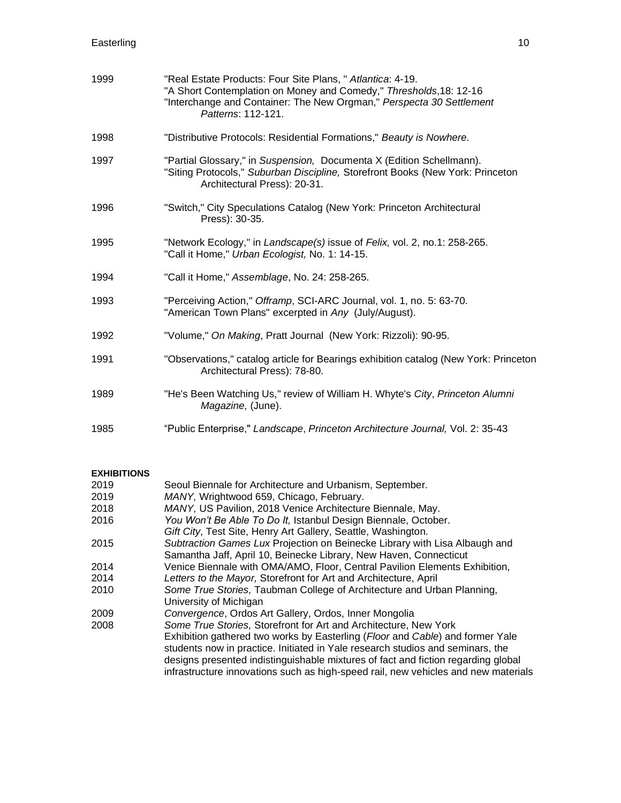| 1999 | "Real Estate Products: Four Site Plans, " Atlantica: 4-19.<br>"A Short Contemplation on Money and Comedy," Thresholds, 18: 12-16<br>"Interchange and Container: The New Orgman," Perspecta 30 Settlement<br>Patterns: 112-121. |
|------|--------------------------------------------------------------------------------------------------------------------------------------------------------------------------------------------------------------------------------|
| 1998 | "Distributive Protocols: Residential Formations," Beauty is Nowhere.                                                                                                                                                           |
| 1997 | "Partial Glossary," in Suspension, Documenta X (Edition Schellmann).<br>"Siting Protocols," Suburban Discipline, Storefront Books (New York: Princeton<br>Architectural Press): 20-31.                                         |
| 1996 | "Switch," City Speculations Catalog (New York: Princeton Architectural<br>Press): 30-35.                                                                                                                                       |
| 1995 | "Network Ecology," in Landscape(s) issue of Felix, vol. 2, no.1: 258-265.<br>"Call it Home," Urban Ecologist, No. 1: 14-15.                                                                                                    |
| 1994 | "Call it Home," Assemblage, No. 24: 258-265.                                                                                                                                                                                   |
| 1993 | "Perceiving Action," Offramp, SCI-ARC Journal, vol. 1, no. 5: 63-70.<br>"American Town Plans" excerpted in Any (July/August).                                                                                                  |
| 1992 | "Volume," On Making, Pratt Journal (New York: Rizzoli): 90-95.                                                                                                                                                                 |
| 1991 | "Observations," catalog article for Bearings exhibition catalog (New York: Princeton<br>Architectural Press): 78-80.                                                                                                           |
| 1989 | "He's Been Watching Us," review of William H. Whyte's City, Princeton Alumni<br>Magazine, (June).                                                                                                                              |
| 1985 | "Public Enterprise," Landscape, Princeton Architecture Journal, Vol. 2: 35-43                                                                                                                                                  |

## **EXHIBITIONS**

| 2019 | Seoul Biennale for Architecture and Urbanism, September.                           |
|------|------------------------------------------------------------------------------------|
| 2019 | MANY, Wrightwood 659, Chicago, February.                                           |
| 2018 | MANY, US Pavilion, 2018 Venice Architecture Biennale, May.                         |
| 2016 | You Won't Be Able To Do It, Istanbul Design Biennale, October.                     |
|      | Gift City, Test Site, Henry Art Gallery, Seattle, Washington.                      |
| 2015 | Subtraction Games Lux Projection on Beinecke Library with Lisa Albaugh and         |
|      | Samantha Jaff, April 10, Beinecke Library, New Haven, Connecticut                  |
| 2014 | Venice Biennale with OMA/AMO, Floor, Central Pavilion Elements Exhibition,         |
| 2014 | Letters to the Mayor, Storefront for Art and Architecture, April                   |
| 2010 | Some True Stories, Taubman College of Architecture and Urban Planning,             |
|      | University of Michigan                                                             |
| 2009 | Convergence, Ordos Art Gallery, Ordos, Inner Mongolia                              |
| 2008 | Some True Stories, Storefront for Art and Architecture, New York                   |
|      | Exhibition gathered two works by Easterling (Floor and Cable) and former Yale      |
|      | students now in practice. Initiated in Yale research studios and seminars, the     |
|      | designs presented indistinguishable mixtures of fact and fiction regarding global  |
|      | infrastructure innovations such as high-speed rail, new vehicles and new materials |
|      |                                                                                    |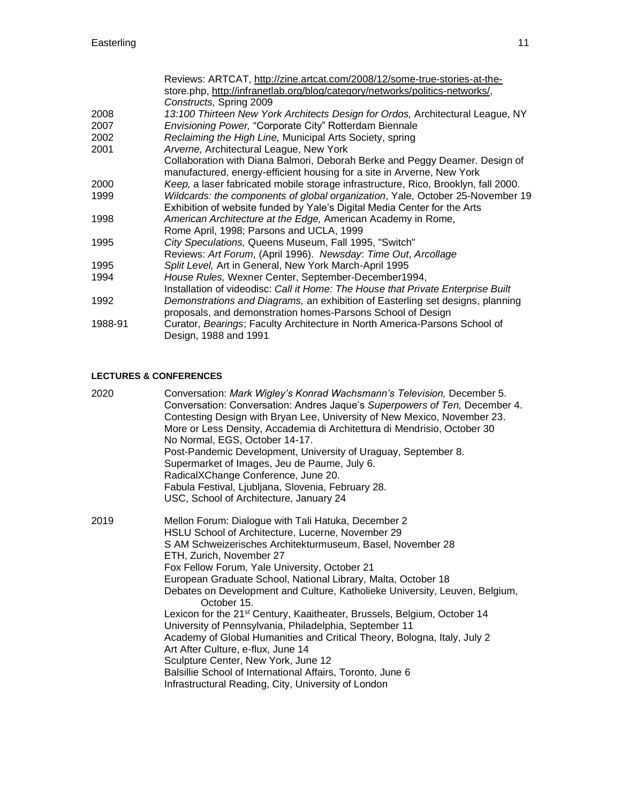|         | Reviews: ARTCAT, http://zine.artcat.com/2008/12/some-true-stories-at-the-                                                                             |
|---------|-------------------------------------------------------------------------------------------------------------------------------------------------------|
|         | store.php, http://infranetlab.org/blog/category/networks/politics-networks/,                                                                          |
|         | Constructs, Spring 2009                                                                                                                               |
| 2008    | 13:100 Thirteen New York Architects Design for Ordos, Architectural League, NY                                                                        |
| 2007    | Envisioning Power, "Corporate City" Rotterdam Biennale                                                                                                |
| 2002    | Reclaiming the High Line, Municipal Arts Society, spring                                                                                              |
| 2001    | Arverne, Architectural League, New York                                                                                                               |
|         | Collaboration with Diana Balmori, Deborah Berke and Peggy Deamer. Design of<br>manufactured, energy-efficient housing for a site in Arverne, New York |
| 2000    | Keep, a laser fabricated mobile storage infrastructure, Rico, Brooklyn, fall 2000.                                                                    |
| 1999    | Wildcards: the components of global organization, Yale, October 25-November 19                                                                        |
|         | Exhibition of website funded by Yale's Digital Media Center for the Arts                                                                              |
| 1998    | American Architecture at the Edge, American Academy in Rome,                                                                                          |
|         | Rome April, 1998; Parsons and UCLA, 1999                                                                                                              |
| 1995    | City Speculations, Queens Museum, Fall 1995, "Switch"                                                                                                 |
|         | Reviews: Art Forum, (April 1996). Newsday: Time Out, Arcollage                                                                                        |
| 1995    | Split Level, Art in General, New York March-April 1995                                                                                                |
| 1994    | House Rules, Wexner Center, September-December1994,                                                                                                   |
|         | Installation of videodisc: Call it Home: The House that Private Enterprise Built                                                                      |
| 1992    | Demonstrations and Diagrams, an exhibition of Easterling set designs, planning<br>proposals, and demonstration homes-Parsons School of Design         |
| 1988-91 | Curator, Bearings; Faculty Architecture in North America-Parsons School of<br>Design, 1988 and 1991                                                   |

# **LECTURES & CONFERENCES**

| 2020 | Conversation: Mark Wigley's Konrad Wachsmann's Television, December 5.<br>Conversation: Conversation: Andres Jaque's Superpowers of Ten, December 4.<br>Contesting Design with Bryan Lee, University of New Mexico, November 23.<br>More or Less Density, Accademia di Architettura di Mendrisio, October 30<br>No Normal, EGS, October 14-17.<br>Post-Pandemic Development, University of Uraguay, September 8.<br>Supermarket of Images, Jeu de Paume, July 6.<br>RadicalXChange Conference, June 20.<br>Fabula Festival, Ljubljana, Slovenia, February 28.<br>USC, School of Architecture, January 24                                                                                                                                                                                                                                           |
|------|----------------------------------------------------------------------------------------------------------------------------------------------------------------------------------------------------------------------------------------------------------------------------------------------------------------------------------------------------------------------------------------------------------------------------------------------------------------------------------------------------------------------------------------------------------------------------------------------------------------------------------------------------------------------------------------------------------------------------------------------------------------------------------------------------------------------------------------------------|
| 2019 | Mellon Forum: Dialogue with Tali Hatuka, December 2<br>HSLU School of Architecture, Lucerne, November 29<br>S AM Schweizerisches Architekturmuseum, Basel, November 28<br>ETH, Zurich, November 27<br>Fox Fellow Forum, Yale University, October 21<br>European Graduate School, National Library, Malta, October 18<br>Debates on Development and Culture, Katholieke University, Leuven, Belgium,<br>October 15.<br>Lexicon for the 21 <sup>st</sup> Century, Kaaitheater, Brussels, Belgium, October 14<br>University of Pennsylvania, Philadelphia, September 11<br>Academy of Global Humanities and Critical Theory, Bologna, Italy, July 2<br>Art After Culture, e-flux, June 14<br>Sculpture Center, New York, June 12<br>Balsillie School of International Affairs, Toronto, June 6<br>Infrastructural Reading, City, University of London |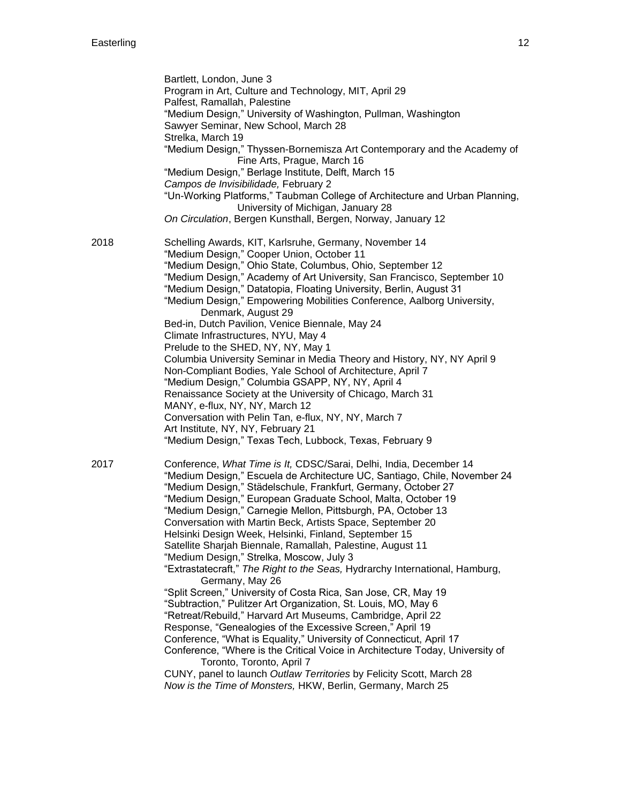|      | Bartlett, London, June 3<br>Program in Art, Culture and Technology, MIT, April 29<br>Palfest, Ramallah, Palestine<br>"Medium Design," University of Washington, Pullman, Washington<br>Sawyer Seminar, New School, March 28<br>Strelka, March 19<br>"Medium Design," Thyssen-Bornemisza Art Contemporary and the Academy of                                                                                                                                                                                                                                                                                                                                                                                                                                                                                                                                                                                                                                                                                                                                                                                                                                                                                      |
|------|------------------------------------------------------------------------------------------------------------------------------------------------------------------------------------------------------------------------------------------------------------------------------------------------------------------------------------------------------------------------------------------------------------------------------------------------------------------------------------------------------------------------------------------------------------------------------------------------------------------------------------------------------------------------------------------------------------------------------------------------------------------------------------------------------------------------------------------------------------------------------------------------------------------------------------------------------------------------------------------------------------------------------------------------------------------------------------------------------------------------------------------------------------------------------------------------------------------|
|      | Fine Arts, Prague, March 16<br>"Medium Design," Berlage Institute, Delft, March 15<br>Campos de Invisibilidade, February 2<br>"Un-Working Platforms," Taubman College of Architecture and Urban Planning,<br>University of Michigan, January 28<br>On Circulation, Bergen Kunsthall, Bergen, Norway, January 12                                                                                                                                                                                                                                                                                                                                                                                                                                                                                                                                                                                                                                                                                                                                                                                                                                                                                                  |
| 2018 | Schelling Awards, KIT, Karlsruhe, Germany, November 14<br>"Medium Design," Cooper Union, October 11<br>"Medium Design," Ohio State, Columbus, Ohio, September 12<br>"Medium Design," Academy of Art University, San Francisco, September 10<br>"Medium Design," Datatopia, Floating University, Berlin, August 31<br>"Medium Design," Empowering Mobilities Conference, Aalborg University,<br>Denmark, August 29<br>Bed-in, Dutch Pavilion, Venice Biennale, May 24<br>Climate Infrastructures, NYU, May 4<br>Prelude to the SHED, NY, NY, May 1<br>Columbia University Seminar in Media Theory and History, NY, NY April 9<br>Non-Compliant Bodies, Yale School of Architecture, April 7<br>"Medium Design," Columbia GSAPP, NY, NY, April 4<br>Renaissance Society at the University of Chicago, March 31<br>MANY, e-flux, NY, NY, March 12<br>Conversation with Pelin Tan, e-flux, NY, NY, March 7<br>Art Institute, NY, NY, February 21<br>"Medium Design," Texas Tech, Lubbock, Texas, February 9                                                                                                                                                                                                          |
| 2017 | Conference, What Time is It, CDSC/Sarai, Delhi, India, December 14<br>"Medium Design," Escuela de Architecture UC, Santiago, Chile, November 24<br>"Medium Design," Städelschule, Frankfurt, Germany, October 27<br>"Medium Design," European Graduate School, Malta, October 19<br>"Medium Design," Carnegie Mellon, Pittsburgh, PA, October 13<br>Conversation with Martin Beck, Artists Space, September 20<br>Helsinki Design Week, Helsinki, Finland, September 15<br>Satellite Sharjah Biennale, Ramallah, Palestine, August 11<br>"Medium Design," Strelka, Moscow, July 3<br>"Extrastatecraft," The Right to the Seas, Hydrarchy International, Hamburg,<br>Germany, May 26<br>"Split Screen," University of Costa Rica, San Jose, CR, May 19<br>"Subtraction," Pulitzer Art Organization, St. Louis, MO, May 6<br>"Retreat/Rebuild," Harvard Art Museums, Cambridge, April 22<br>Response, "Genealogies of the Excessive Screen," April 19<br>Conference, "What is Equality," University of Connecticut, April 17<br>Conference, "Where is the Critical Voice in Architecture Today, University of<br>Toronto, Toronto, April 7<br>CUNY, panel to launch Outlaw Territories by Felicity Scott, March 28 |
|      | Now is the Time of Monsters, HKW, Berlin, Germany, March 25                                                                                                                                                                                                                                                                                                                                                                                                                                                                                                                                                                                                                                                                                                                                                                                                                                                                                                                                                                                                                                                                                                                                                      |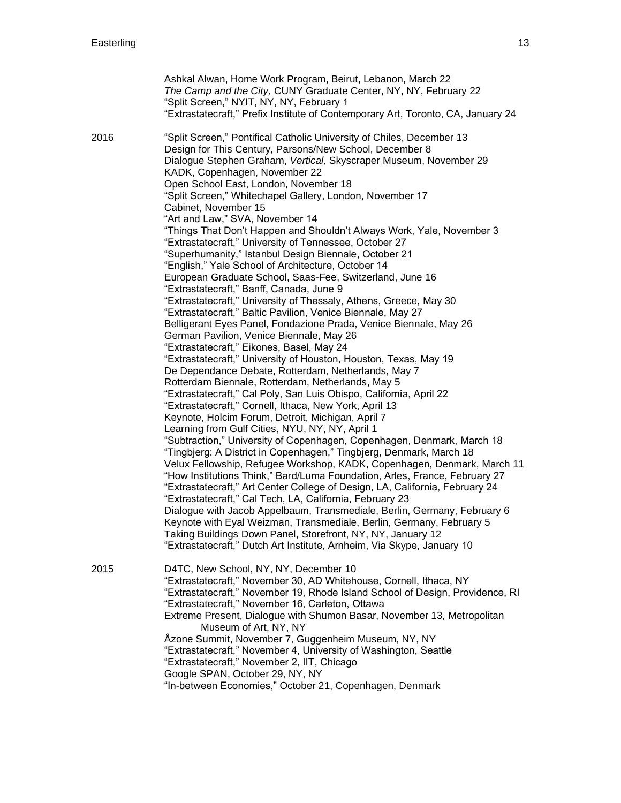|      | Ashkal Alwan, Home Work Program, Beirut, Lebanon, March 22<br>The Camp and the City, CUNY Graduate Center, NY, NY, February 22<br>"Split Screen," NYIT, NY, NY, February 1<br>"Extrastatecraft," Prefix Institute of Contemporary Art, Toronto, CA, January 24                                                                                                                                                                                                                                                                                                                                                                                                                                                                                                                                                                                                                                                                                                                                                                                                                                                                                                                                                                                                                                                                                                                                                                                                                                                                                                                                                                                                                                                                                                                                                                                                                                                                                                                                                                                                                                                                                                      |
|------|---------------------------------------------------------------------------------------------------------------------------------------------------------------------------------------------------------------------------------------------------------------------------------------------------------------------------------------------------------------------------------------------------------------------------------------------------------------------------------------------------------------------------------------------------------------------------------------------------------------------------------------------------------------------------------------------------------------------------------------------------------------------------------------------------------------------------------------------------------------------------------------------------------------------------------------------------------------------------------------------------------------------------------------------------------------------------------------------------------------------------------------------------------------------------------------------------------------------------------------------------------------------------------------------------------------------------------------------------------------------------------------------------------------------------------------------------------------------------------------------------------------------------------------------------------------------------------------------------------------------------------------------------------------------------------------------------------------------------------------------------------------------------------------------------------------------------------------------------------------------------------------------------------------------------------------------------------------------------------------------------------------------------------------------------------------------------------------------------------------------------------------------------------------------|
| 2016 | "Split Screen," Pontifical Catholic University of Chiles, December 13<br>Design for This Century, Parsons/New School, December 8<br>Dialogue Stephen Graham, Vertical, Skyscraper Museum, November 29<br>KADK, Copenhagen, November 22<br>Open School East, London, November 18<br>"Split Screen," Whitechapel Gallery, London, November 17<br>Cabinet, November 15<br>"Art and Law," SVA, November 14<br>"Things That Don't Happen and Shouldn't Always Work, Yale, November 3<br>"Extrastatecraft," University of Tennessee, October 27<br>"Superhumanity," Istanbul Design Biennale, October 21<br>"English," Yale School of Architecture, October 14<br>European Graduate School, Saas-Fee, Switzerland, June 16<br>"Extrastatecraft," Banff, Canada, June 9<br>"Extrastatecraft," University of Thessaly, Athens, Greece, May 30<br>"Extrastatecraft," Baltic Pavilion, Venice Biennale, May 27<br>Belligerant Eyes Panel, Fondazione Prada, Venice Biennale, May 26<br>German Pavilion, Venice Biennale, May 26<br>"Extrastatecraft," Eikones, Basel, May 24<br>"Extrastatecraft," University of Houston, Houston, Texas, May 19<br>De Dependance Debate, Rotterdam, Netherlands, May 7<br>Rotterdam Biennale, Rotterdam, Netherlands, May 5<br>"Extrastatecraft," Cal Poly, San Luis Obispo, California, April 22<br>"Extrastatecraft," Cornell, Ithaca, New York, April 13<br>Keynote, Holcim Forum, Detroit, Michigan, April 7<br>Learning from Gulf Cities, NYU, NY, NY, April 1<br>"Subtraction," University of Copenhagen, Copenhagen, Denmark, March 18<br>"Tingbjerg: A District in Copenhagen," Tingbjerg, Denmark, March 18<br>Velux Fellowship, Refugee Workshop, KADK, Copenhagen, Denmark, March 11<br>"How Institutions Think," Bard/Luma Foundation, Arles, France, February 27<br>"Extrastatecraft," Art Center College of Design, LA, California, February 24<br>"Extrastatecraft," Cal Tech, LA, California, February 23<br>Dialogue with Jacob Appelbaum, Transmediale, Berlin, Germany, February 6<br>Keynote with Eyal Weizman, Transmediale, Berlin, Germany, February 5<br>Taking Buildings Down Panel, Storefront, NY, NY, January 12 |
|      | "Extrastatecraft," Dutch Art Institute, Arnheim, Via Skype, January 10                                                                                                                                                                                                                                                                                                                                                                                                                                                                                                                                                                                                                                                                                                                                                                                                                                                                                                                                                                                                                                                                                                                                                                                                                                                                                                                                                                                                                                                                                                                                                                                                                                                                                                                                                                                                                                                                                                                                                                                                                                                                                              |
| 2015 | D4TC, New School, NY, NY, December 10<br>"Extrastatecraft," November 30, AD Whitehouse, Cornell, Ithaca, NY<br>"Extrastatecraft," November 19, Rhode Island School of Design, Providence, RI<br>"Extrastatecraft," November 16, Carleton, Ottawa<br>Extreme Present, Dialogue with Shumon Basar, November 13, Metropolitan<br>Museum of Art, NY, NY<br>Åzone Summit, November 7, Guggenheim Museum, NY, NY<br>"Extrastatecraft," November 4, University of Washington, Seattle<br>"Extrastatecraft," November 2, IIT, Chicago<br>Google SPAN, October 29, NY, NY<br>"In-between Economies," October 21, Copenhagen, Denmark                                                                                                                                                                                                                                                                                                                                                                                                                                                                                                                                                                                                                                                                                                                                                                                                                                                                                                                                                                                                                                                                                                                                                                                                                                                                                                                                                                                                                                                                                                                                         |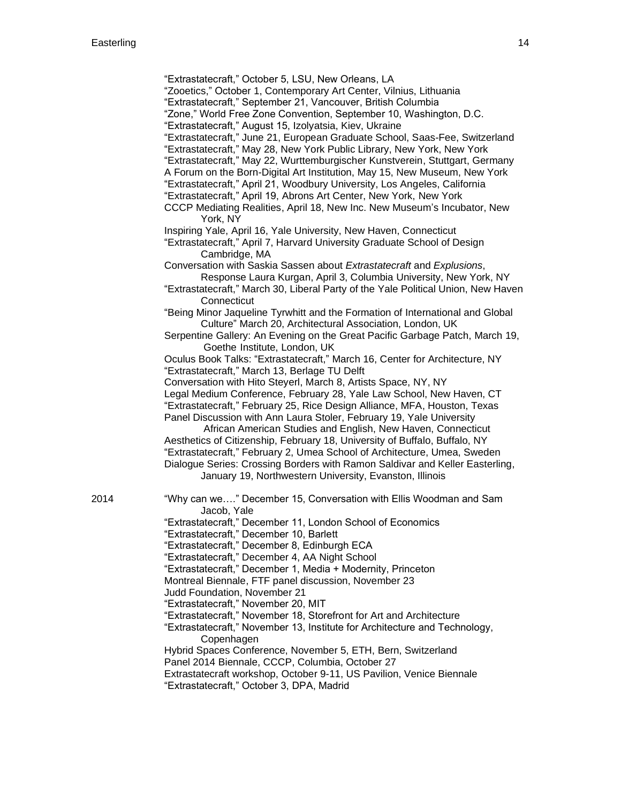- "Zooetics," October 1, Contemporary Art Center, Vilnius, Lithuania
- "Extrastatecraft," September 21, Vancouver, British Columbia
- "Zone," World Free Zone Convention, September 10, Washington, D.C.
- "Extrastatecraft," August 15, Izolyatsia, Kiev, Ukraine
- "Extrastatecraft," June 21, European Graduate School, Saas-Fee, Switzerland
- ["Extrastatecraft," May 28, New York Public Library, New York, New York](http://www.nypl.org/events/programs/2015/05/28/extrastatecraft-power-infrastructure-space-keller-easterling)
- "Extrastatecraft," May 22, [Wurttemburgischer Kunstverein, Stuttgart, Germany](http://www.wkv-stuttgart.de/en/program/2015/events/keller-easterling/)
- [A Forum on the Born-Digital Art Institution, May 15, New Museum, New York](http://www.newmuseum.org/calendar/view/a-forum-on-the-born-digital-art-institution-1)
- "Extrastatecraft," April 21, Woodbury University, Los Angeles, California
- "Extrastatecraft," April 19, Abrons Art Center, New York, New York
- CCCP Mediating Realities, April 18, New Inc. New Museum's Incubator, New York, NY
- [Inspiring Yale, April 16, Yale University, New Haven, Connecticut](http://www.inspiringyale.com/)
- "Extrastatecraft," April 7, Harvard University Graduate School of Design Cambridge, MA
- Conversation with Saskia Sassen about *Extrastatecraft* and *Explusions*, Response Laura Kurgan, April 3, Columbia University, New York, NY
- "Extrastatecraft," March 30, Liberal Party of the Yale Political Union, New Haven **Connecticut**
- "Being Minor Jaqueline Tyrwhitt and the Formation of International and Global Culture" March 20, Architectural Association, London, UK
- [Serpentine Gallery: An Evening on the Great Pacific Garbage Patch, March 19,](http://www.serpentinegalleries.org/exhibitions-events/evening-great-pacific-garbage-patch) Goethe [Institute, London, UK](http://www.serpentinegalleries.org/exhibitions-events/evening-great-pacific-garbage-patch)
- Oculus Book Talks: "Extrastatecraft," [March 16, Center for Architecture, NY](http://aiany.aiany.org/index.php?section=oculus) "Extrastatecraft," March 13, Berlage TU Delft
- Conversation with Hito Steyerl, March 8, Artists Space, NY, NY
- [Legal Medium Conference, February 28, Yale Law School, New Haven, CT](http://kellereasterling.com/talks/legal-medium) "Extrastatecraft," February 25, Rice Design Alliance, MFA, Houston, Texas
- Panel Discussion with Ann Laura Stoler, February 19, Yale University African American Studies and English, New Haven, Connecticut
- Aesthetics of Citizenship, February 18, University of Buffalo, Buffalo, NY "Extrastatecraft," February 2, Umea School of Architecture, Umea, Sweden Dialogue Series: Crossing Borders with Ramon Saldivar and Keller Easterling, January 19, Northwestern University, Evanston, Illinois
- 
- 2014 "Why can we…." December 15, Conversation with Ellis Woodman and Sam Jacob, Yale
	- "Extrastatecraft," December 11, London School of Economics
	- "Extrastatecraft," December 10, Barlett
	- "Extrastatecraft," December 8, Edinburgh ECA
	- "Extrastatecraft," December 4, AA Night School
	- "Extrastatecraft," December 1, Media + Modernity, Princeton
	- Montreal Biennale, FTF panel discussion, November 23
	- Judd Foundation, November 21
	- "Extrastatecraft," November 20, MIT
	- "Extrastatecraft," November 18, Storefront for Art and Architecture
	- "Extrastatecraft," November 13, Institute for Architecture and Technology, Copenhagen
	- Hybrid Spaces Conference, November 5, ETH, Bern, Switzerland
	- Panel 2014 Biennale, CCCP, Columbia, October 27
	- Extrastatecraft workshop, October 9-11, US Pavilion, Venice Biennale "Extrastatecraft," October 3, DPA, Madrid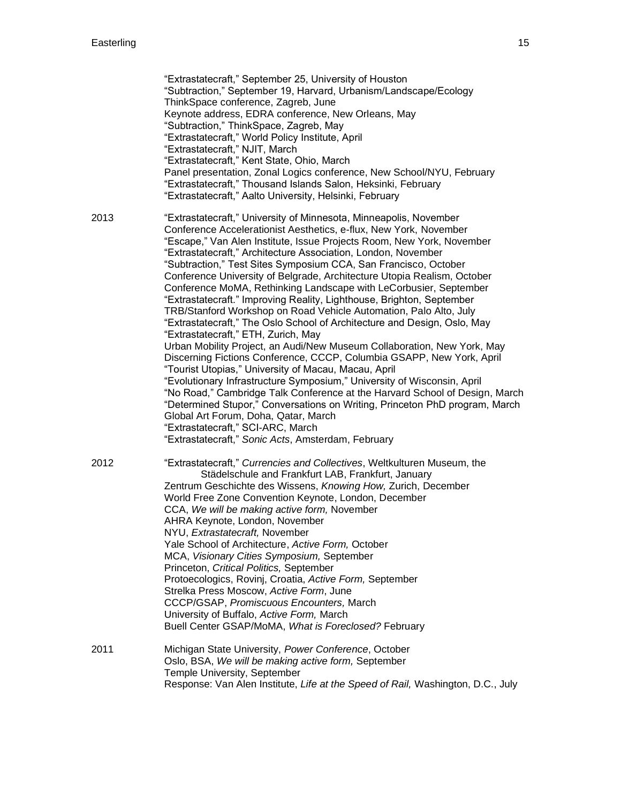|      | "Extrastatecraft," September 25, University of Houston<br>"Subtraction," September 19, Harvard, Urbanism/Landscape/Ecology<br>ThinkSpace conference, Zagreb, June<br>Keynote address, EDRA conference, New Orleans, May<br>"Subtraction," ThinkSpace, Zagreb, May<br>"Extrastatecraft," World Policy Institute, April<br>"Extrastatecraft," NJIT, March<br>"Extrastatecraft," Kent State, Ohio, March<br>Panel presentation, Zonal Logics conference, New School/NYU, February<br>"Extrastatecraft," Thousand Islands Salon, Heksinki, February<br>"Extrastatecraft," Aalto University, Helsinki, February                                                                                                                                                                                                                                                                                                                                                                                                                                                                                                                                                                                                                                                                                                                                                   |
|------|--------------------------------------------------------------------------------------------------------------------------------------------------------------------------------------------------------------------------------------------------------------------------------------------------------------------------------------------------------------------------------------------------------------------------------------------------------------------------------------------------------------------------------------------------------------------------------------------------------------------------------------------------------------------------------------------------------------------------------------------------------------------------------------------------------------------------------------------------------------------------------------------------------------------------------------------------------------------------------------------------------------------------------------------------------------------------------------------------------------------------------------------------------------------------------------------------------------------------------------------------------------------------------------------------------------------------------------------------------------|
| 2013 | "Extrastatecraft," University of Minnesota, Minneapolis, November<br>Conference Accelerationist Aesthetics, e-flux, New York, November<br>"Escape," Van Alen Institute, Issue Projects Room, New York, November<br>"Extrastatecraft," Architecture Association, London, November<br>"Subtraction," Test Sites Symposium CCA, San Francisco, October<br>Conference University of Belgrade, Architecture Utopia Realism, October<br>Conference MoMA, Rethinking Landscape with LeCorbusier, September<br>"Extrastatecraft." Improving Reality, Lighthouse, Brighton, September<br>TRB/Stanford Workshop on Road Vehicle Automation, Palo Alto, July<br>"Extrastatecraft," The Oslo School of Architecture and Design, Oslo, May<br>"Extrastatecraft," ETH, Zurich, May<br>Urban Mobility Project, an Audi/New Museum Collaboration, New York, May<br>Discerning Fictions Conference, CCCP, Columbia GSAPP, New York, April<br>"Tourist Utopias," University of Macau, Macau, April<br>"Evolutionary Infrastructure Symposium," University of Wisconsin, April<br>"No Road," Cambridge Talk Conference at the Harvard School of Design, March<br>"Determined Stupor," Conversations on Writing, Princeton PhD program, March<br>Global Art Forum, Doha, Qatar, March<br>"Extrastatecraft," SCI-ARC, March<br>"Extrastatecraft," Sonic Acts, Amsterdam, February |
| 2012 | "Extrastatecraft," Currencies and Collectives, Weltkulturen Museum, the<br>Städelschule and Frankfurt LAB, Frankfurt, January<br>Zentrum Geschichte des Wissens, Knowing How, Zurich, December<br>World Free Zone Convention Keynote, London, December<br>CCA, We will be making active form, November<br>AHRA Keynote, London, November<br>NYU, Extrastatecraft, November<br>Yale School of Architecture, Active Form, October<br>MCA, Visionary Cities Symposium, September<br>Princeton, Critical Politics, September<br>Protoecologics, Rovinj, Croatia, Active Form, September<br>Strelka Press Moscow, Active Form, June<br>CCCP/GSAP, Promiscuous Encounters, March<br>University of Buffalo, Active Form, March<br>Buell Center GSAP/MoMA, What is Foreclosed? February                                                                                                                                                                                                                                                                                                                                                                                                                                                                                                                                                                              |
| 2011 | Michigan State University, Power Conference, October<br>Oslo, BSA, We will be making active form, September<br>Temple University, September<br>Response: Van Alen Institute, Life at the Speed of Rail, Washington, D.C., July                                                                                                                                                                                                                                                                                                                                                                                                                                                                                                                                                                                                                                                                                                                                                                                                                                                                                                                                                                                                                                                                                                                               |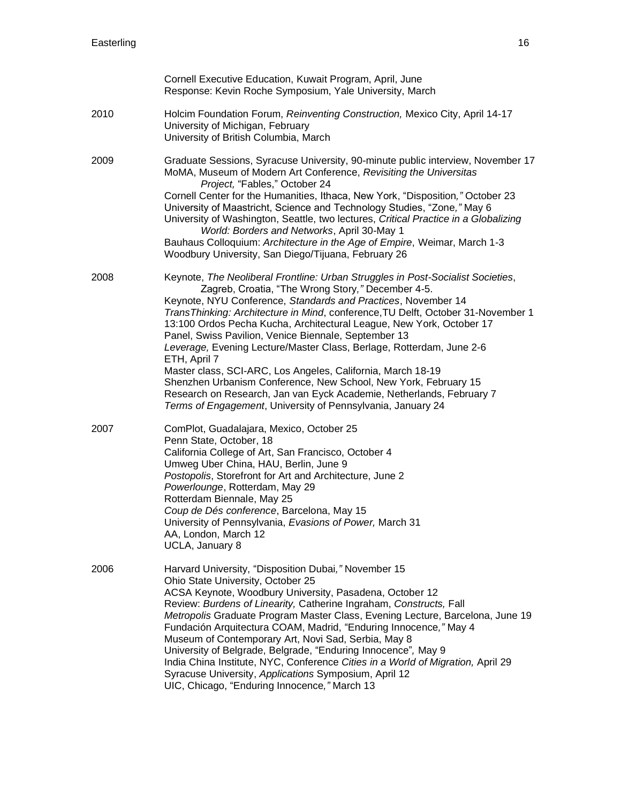|      | Cornell Executive Education, Kuwait Program, April, June<br>Response: Kevin Roche Symposium, Yale University, March                                                                                                                                                                                                                                                                                                                                                                                                                                                                                                                                                                                                                                                                        |
|------|--------------------------------------------------------------------------------------------------------------------------------------------------------------------------------------------------------------------------------------------------------------------------------------------------------------------------------------------------------------------------------------------------------------------------------------------------------------------------------------------------------------------------------------------------------------------------------------------------------------------------------------------------------------------------------------------------------------------------------------------------------------------------------------------|
| 2010 | Holcim Foundation Forum, Reinventing Construction, Mexico City, April 14-17<br>University of Michigan, February<br>University of British Columbia, March                                                                                                                                                                                                                                                                                                                                                                                                                                                                                                                                                                                                                                   |
| 2009 | Graduate Sessions, Syracuse University, 90-minute public interview, November 17<br>MoMA, Museum of Modern Art Conference, Revisiting the Universitas<br>Project, "Fables," October 24<br>Cornell Center for the Humanities, Ithaca, New York, "Disposition," October 23<br>University of Maastricht, Science and Technology Studies, "Zone," May 6<br>University of Washington, Seattle, two lectures, Critical Practice in a Globalizing<br>World: Borders and Networks, April 30-May 1<br>Bauhaus Colloquium: Architecture in the Age of Empire, Weimar, March 1-3<br>Woodbury University, San Diego/Tijuana, February 26                                                                                                                                                                |
| 2008 | Keynote, The Neoliberal Frontline: Urban Struggles in Post-Socialist Societies,<br>Zagreb, Croatia, "The Wrong Story," December 4-5.<br>Keynote, NYU Conference, Standards and Practices, November 14<br>TransThinking: Architecture in Mind, conference, TU Delft, October 31-November 1<br>13:100 Ordos Pecha Kucha, Architectural League, New York, October 17<br>Panel, Swiss Pavilion, Venice Biennale, September 13<br>Leverage, Evening Lecture/Master Class, Berlage, Rotterdam, June 2-6<br>ETH, April 7<br>Master class, SCI-ARC, Los Angeles, California, March 18-19<br>Shenzhen Urbanism Conference, New School, New York, February 15<br>Research on Research, Jan van Eyck Academie, Netherlands, February 7<br>Terms of Engagement, University of Pennsylvania, January 24 |
| 2007 | ComPlot, Guadalajara, Mexico, October 25<br>Penn State, October, 18<br>California College of Art, San Francisco, October 4<br>Umweg Uber China, HAU, Berlin, June 9<br>Postopolis, Storefront for Art and Architecture, June 2<br>Powerlounge, Rotterdam, May 29<br>Rotterdam Biennale, May 25<br>Coup de Dés conference, Barcelona, May 15<br>University of Pennsylvania, Evasions of Power, March 31<br>AA, London, March 12<br>UCLA, January 8                                                                                                                                                                                                                                                                                                                                          |
| 2006 | Harvard University, "Disposition Dubai," November 15<br>Ohio State University, October 25<br>ACSA Keynote, Woodbury University, Pasadena, October 12<br>Review: Burdens of Linearity, Catherine Ingraham, Constructs, Fall<br>Metropolis Graduate Program Master Class, Evening Lecture, Barcelona, June 19<br>Fundación Arquitectura COAM, Madrid, "Enduring Innocence," May 4<br>Museum of Contemporary Art, Novi Sad, Serbia, May 8<br>University of Belgrade, Belgrade, "Enduring Innocence", May 9<br>India China Institute, NYC, Conference Cities in a World of Migration, April 29<br>Syracuse University, Applications Symposium, April 12<br>UIC, Chicago, "Enduring Innocence," March 13                                                                                        |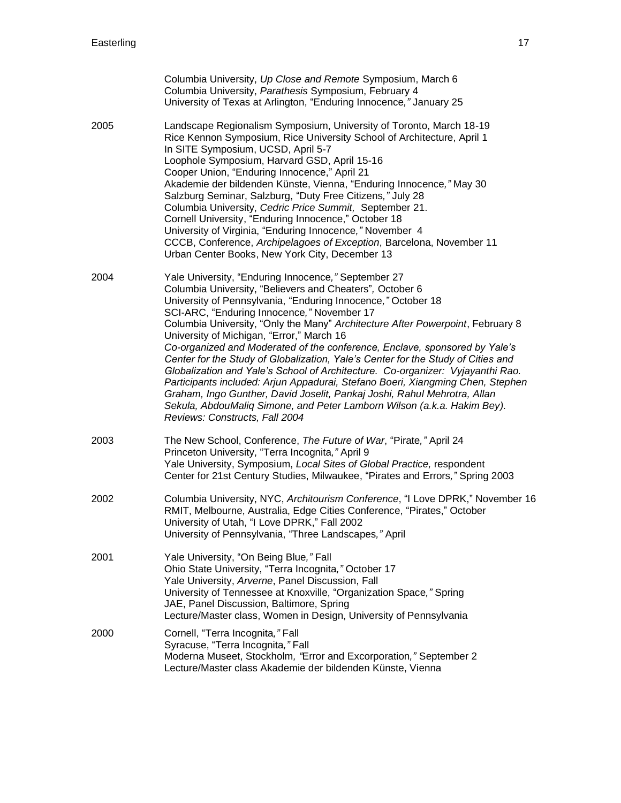|      | Columbia University, Up Close and Remote Symposium, March 6<br>Columbia University, Parathesis Symposium, February 4<br>University of Texas at Arlington, "Enduring Innocence," January 25                                                                                                                                                                                                                                                                                                                                                                                                                                                                                                                                                                                                                                                                                                  |
|------|---------------------------------------------------------------------------------------------------------------------------------------------------------------------------------------------------------------------------------------------------------------------------------------------------------------------------------------------------------------------------------------------------------------------------------------------------------------------------------------------------------------------------------------------------------------------------------------------------------------------------------------------------------------------------------------------------------------------------------------------------------------------------------------------------------------------------------------------------------------------------------------------|
| 2005 | Landscape Regionalism Symposium, University of Toronto, March 18-19<br>Rice Kennon Symposium, Rice University School of Architecture, April 1<br>In SITE Symposium, UCSD, April 5-7<br>Loophole Symposium, Harvard GSD, April 15-16<br>Cooper Union, "Enduring Innocence," April 21<br>Akademie der bildenden Künste, Vienna, "Enduring Innocence," May 30<br>Salzburg Seminar, Salzburg, "Duty Free Citizens," July 28<br>Columbia University, Cedric Price Summit, September 21.<br>Cornell University, "Enduring Innocence," October 18<br>University of Virginia, "Enduring Innocence," November 4<br>CCCB, Conference, Archipelagoes of Exception, Barcelona, November 11<br>Urban Center Books, New York City, December 13                                                                                                                                                            |
| 2004 | Yale University, "Enduring Innocence," September 27<br>Columbia University, "Believers and Cheaters", October 6<br>University of Pennsylvania, "Enduring Innocence," October 18<br>SCI-ARC, "Enduring Innocence," November 17<br>Columbia University, "Only the Many" Architecture After Powerpoint, February 8<br>University of Michigan, "Error," March 16<br>Co-organized and Moderated of the conference, Enclave, sponsored by Yale's<br>Center for the Study of Globalization, Yale's Center for the Study of Cities and<br>Globalization and Yale's School of Architecture. Co-organizer: Vyjayanthi Rao.<br>Participants included: Arjun Appadurai, Stefano Boeri, Xiangming Chen, Stephen<br>Graham, Ingo Gunther, David Joselit, Pankaj Joshi, Rahul Mehrotra, Allan<br>Sekula, AbdouMaliq Simone, and Peter Lamborn Wilson (a.k.a. Hakim Bey).<br>Reviews: Constructs, Fall 2004 |
| 2003 | The New School, Conference, The Future of War, "Pirate," April 24<br>Princeton University, "Terra Incognita," April 9<br>Yale University, Symposium, Local Sites of Global Practice, respondent<br>Center for 21st Century Studies, Milwaukee, "Pirates and Errors," Spring 2003                                                                                                                                                                                                                                                                                                                                                                                                                                                                                                                                                                                                            |
| 2002 | Columbia University, NYC, Architourism Conference, "I Love DPRK," November 16<br>RMIT, Melbourne, Australia, Edge Cities Conference, "Pirates," October<br>University of Utah, "I Love DPRK," Fall 2002<br>University of Pennsylvania, "Three Landscapes," April                                                                                                                                                                                                                                                                                                                                                                                                                                                                                                                                                                                                                            |
| 2001 | Yale University, "On Being Blue," Fall<br>Ohio State University, "Terra Incognita," October 17<br>Yale University, Arverne, Panel Discussion, Fall<br>University of Tennessee at Knoxville, "Organization Space," Spring<br>JAE, Panel Discussion, Baltimore, Spring<br>Lecture/Master class, Women in Design, University of Pennsylvania                                                                                                                                                                                                                                                                                                                                                                                                                                                                                                                                                   |
| 2000 | Cornell, "Terra Incognita," Fall<br>Syracuse, "Terra Incognita," Fall<br>Moderna Museet, Stockholm, "Error and Excorporation," September 2<br>Lecture/Master class Akademie der bildenden Künste, Vienna                                                                                                                                                                                                                                                                                                                                                                                                                                                                                                                                                                                                                                                                                    |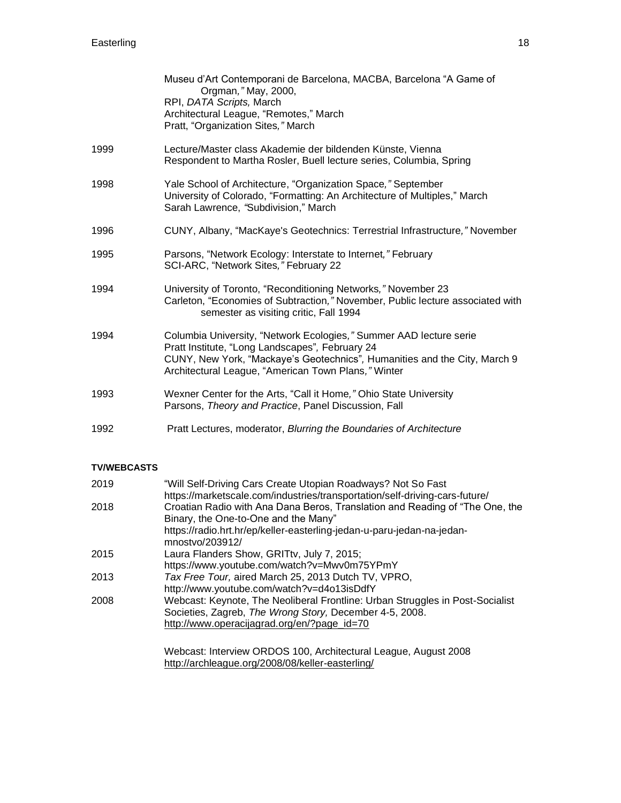|      | Museu d'Art Contemporani de Barcelona, MACBA, Barcelona "A Game of<br>Orgman," May, 2000,<br>RPI, DATA Scripts, March<br>Architectural League, "Remotes," March<br>Pratt, "Organization Sites," March                                                     |
|------|-----------------------------------------------------------------------------------------------------------------------------------------------------------------------------------------------------------------------------------------------------------|
| 1999 | Lecture/Master class Akademie der bildenden Künste, Vienna<br>Respondent to Martha Rosler, Buell lecture series, Columbia, Spring                                                                                                                         |
| 1998 | Yale School of Architecture, "Organization Space," September<br>University of Colorado, "Formatting: An Architecture of Multiples," March<br>Sarah Lawrence, "Subdivision," March                                                                         |
| 1996 | CUNY, Albany, "MacKaye's Geotechnics: Terrestrial Infrastructure," November                                                                                                                                                                               |
| 1995 | Parsons, "Network Ecology: Interstate to Internet," February<br>SCI-ARC, "Network Sites," February 22                                                                                                                                                     |
| 1994 | University of Toronto, "Reconditioning Networks," November 23<br>Carleton, "Economies of Subtraction," November, Public lecture associated with<br>semester as visiting critic, Fall 1994                                                                 |
| 1994 | Columbia University, "Network Ecologies," Summer AAD lecture serie<br>Pratt Institute, "Long Landscapes", February 24<br>CUNY, New York, "Mackaye's Geotechnics", Humanities and the City, March 9<br>Architectural League, "American Town Plans," Winter |
| 1993 | Wexner Center for the Arts, "Call it Home," Ohio State University<br>Parsons, Theory and Practice, Panel Discussion, Fall                                                                                                                                 |
| 1992 | Pratt Lectures, moderator, Blurring the Boundaries of Architecture                                                                                                                                                                                        |

# **TV/WEBCASTS**

| 2019 | "Will Self-Driving Cars Create Utopian Roadways? Not So Fast<br>https://marketscale.com/industries/transportation/self-driving-cars-future/ |
|------|---------------------------------------------------------------------------------------------------------------------------------------------|
| 2018 | Croatian Radio with Ana Dana Beros, Translation and Reading of "The One, the<br>Binary, the One-to-One and the Many"                        |
|      | https://radio.hrt.hr/ep/keller-easterling-jedan-u-paru-jedan-na-jedan-<br>mnostvo/203912/                                                   |
| 2015 | Laura Flanders Show, GRITtv, July 7, 2015;                                                                                                  |
|      | https://www.youtube.com/watch?v=Mwv0m75YPmY                                                                                                 |
| 2013 | Tax Free Tour, aired March 25, 2013 Dutch TV, VPRO,                                                                                         |
|      | http://www.youtube.com/watch?v=d4o13isDdfY                                                                                                  |
| 2008 | Webcast: Keynote, The Neoliberal Frontline: Urban Struggles in Post-Socialist                                                               |
|      | Societies, Zagreb, The Wrong Story, December 4-5, 2008.                                                                                     |
|      | http://www.operacijagrad.org/en/?page_id=70                                                                                                 |
|      |                                                                                                                                             |
|      |                                                                                                                                             |

Webcast: Interview ORDOS 100, Architectural League, August 2008 <http://archleague.org/2008/08/keller-easterling/>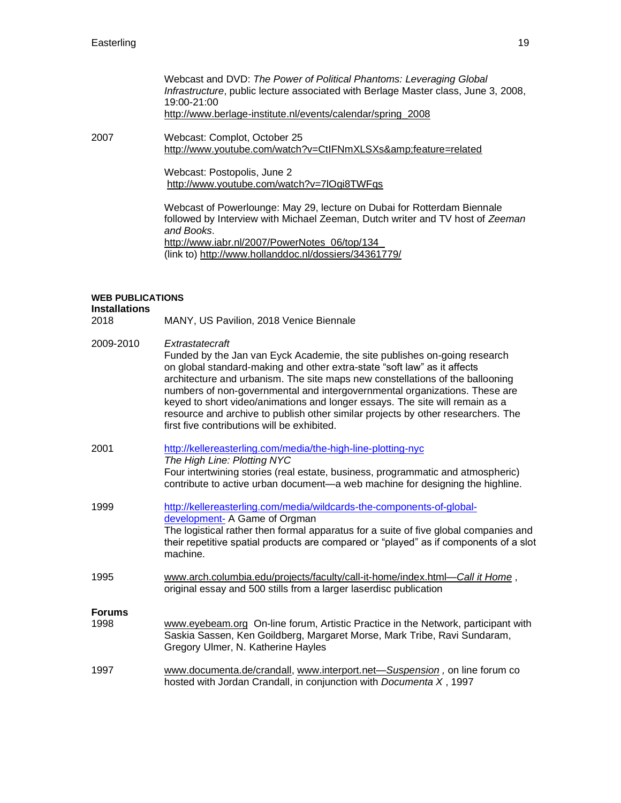| Webcast and DVD: The Power of Political Phantoms: Leveraging Global                |
|------------------------------------------------------------------------------------|
| Infrastructure, public lecture associated with Berlage Master class, June 3, 2008, |
| 19:00-21:00                                                                        |
| http://www.berlage-institute.nl/events/calendar/spring 2008                        |

2007 Webcast: Complot, October 25 <http://www.youtube.com/watch?v=CtIFNmXLSXs&feature=related>

> Webcast: Postopolis, June 2 <http://www.youtube.com/watch?v=7lOgi8TWFqs>

Webcast of Powerlounge: May 29, lecture on Dubai for Rotterdam Biennale followed by Interview with Michael Zeeman, Dutch writer and TV host of *Zeeman and Books*. [http://www.iabr.nl/2007/PowerNotes\\_06/top/134](http://www.iabr.nl/2007/PowerNotes_06/top/134)  (link to)<http://www.hollanddoc.nl/dossiers/34361779/>

### **WEB PUBLICATIONS**

**Installations** 2018 MANY, US Pavilion, 2018 Venice Biennale

| 2009-2010     | Extrastatecraft<br>Funded by the Jan van Eyck Academie, the site publishes on-going research<br>on global standard-making and other extra-state "soft law" as it affects<br>architecture and urbanism. The site maps new constellations of the ballooning<br>numbers of non-governmental and intergovernmental organizations. These are<br>keyed to short video/animations and longer essays. The site will remain as a<br>resource and archive to publish other similar projects by other researchers. The<br>first five contributions will be exhibited. |
|---------------|------------------------------------------------------------------------------------------------------------------------------------------------------------------------------------------------------------------------------------------------------------------------------------------------------------------------------------------------------------------------------------------------------------------------------------------------------------------------------------------------------------------------------------------------------------|
| 2001          | http://kellereasterling.com/media/the-high-line-plotting-nyc<br>The High Line: Plotting NYC<br>Four intertwining stories (real estate, business, programmatic and atmospheric)<br>contribute to active urban document-a web machine for designing the highline.                                                                                                                                                                                                                                                                                            |
| 1999          | http://kellereasterling.com/media/wildcards-the-components-of-global-<br>development- A Game of Orgman<br>The logistical rather then formal apparatus for a suite of five global companies and<br>their repetitive spatial products are compared or "played" as if components of a slot<br>machine.                                                                                                                                                                                                                                                        |
| 1995          | www.arch.columbia.edu/projects/faculty/call-it-home/index.html-Call it Home,<br>original essay and 500 stills from a larger laserdisc publication                                                                                                                                                                                                                                                                                                                                                                                                          |
| <b>Forums</b> |                                                                                                                                                                                                                                                                                                                                                                                                                                                                                                                                                            |
| 1998          | www.eyebeam.org On-line forum, Artistic Practice in the Network, participant with<br>Saskia Sassen, Ken Goildberg, Margaret Morse, Mark Tribe, Ravi Sundaram,<br>Gregory Ulmer, N. Katherine Hayles                                                                                                                                                                                                                                                                                                                                                        |
| 1997          | www.documenta.de/crandall, www.interport.net-Suspension, on line forum co<br>hosted with Jordan Crandall, in conjunction with Documenta X, 1997                                                                                                                                                                                                                                                                                                                                                                                                            |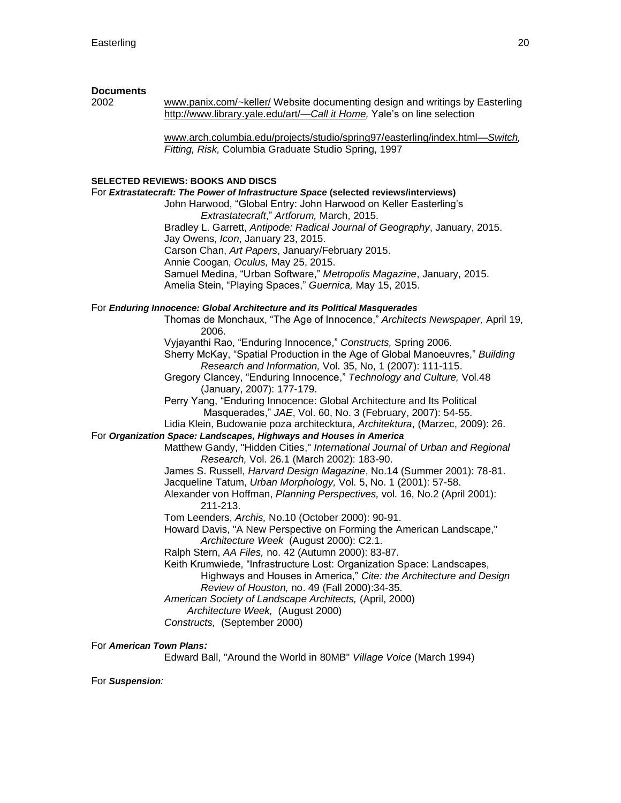## **Documents**

2002 [www.panix.com/~keller/](http://www.panix.com/~keller/) Website documenting design and writings by Easterling [http://www.library.yale.edu/art/—](http://www.library.yale.edu/art/—Call)*Call it Home,* Yale's on line selection

> [www.arch.columbia.edu/projects/studio/spring97/easterling/index.html—](http://www.arch.columbia.edu/projects/studio/spring97/easterling/index.html—Switch)*Switch, Fitting, Risk,* Columbia Graduate Studio Spring, 1997

#### **SELECTED REVIEWS: BOOKS AND DISCS**

For *Extrastatecraft: The Power of Infrastructure Space* **(selected reviews/interviews)**

John Harwood, "Global Entry: John Harwood on Keller Easterling's *Extrastatecraft*," *Artforum,* March, 2015.

Bradley L. Garrett, *Antipode: Radical Journal of Geography*, January, 2015. Jay Owens, *Icon*, January 23, 2015. Carson Chan, *Art Papers*, January/February 2015. Annie Coogan, *Oculus,* May 25, 2015.

Samuel Medina, "Urban Software," *Metropolis Magazine*, January, 2015. Amelia Stein, "Playing Spaces," *Guernica,* May 15, 2015.

#### For *Enduring Innocence: Global Architecture and its Political Masquerades*

Thomas de Monchaux, "The Age of Innocence," *Architects Newspaper,* April 19, 2006.

Vyjayanthi Rao, "Enduring Innocence," *Constructs,* Spring 2006.

Sherry McKay, "Spatial Production in the Age of Global Manoeuvres," *Building Research and Information,* Vol. 35, No, 1 (2007): 111-115.

Gregory Clancey, "Enduring Innocence," *Technology and Culture,* Vol.48 (January, 2007): 177-179.

Perry Yang, "Enduring Innocence: Global Architecture and Its Political Masquerades," *JAE*, Vol. 60, No. 3 (February, 2007): 54-55.

Lidia Klein, Budowanie poza architecktura, *Architektura*, (Marzec, 2009): 26.

## For *Organization Space: Landscapes, Highways and Houses in America*

Matthew Gandy, "Hidden Cities," *International Journal of Urban and Regional Research,* Vol. 26.1 (March 2002): 183-90.

James S. Russell, *Harvard Design Magazine*, No.14 (Summer 2001): 78-81.

Jacqueline Tatum, *Urban Morphology,* Vol. 5, No. 1 (2001): 57-58.

Alexander von Hoffman, *Planning Perspectives,* vol. 16, No.2 (April 2001): 211-213.

Tom Leenders, *Archis,* No.10 (October 2000): 90-91.

Howard Davis, "A New Perspective on Forming the American Landscape," *Architecture Week* (August 2000): C2.1.

Ralph Stern, *AA Files,* no. 42 (Autumn 2000): 83-87.

Keith Krumwiede, "Infrastructure Lost: Organization Space: Landscapes, Highways and Houses in America," *Cite: the Architecture and Design Review of Houston,* no. 49 (Fall 2000):34-35.

*American Society of Landscape Architects,* (April, 2000)

*Architecture Week,* (August 2000)

*Constructs,* (September 2000)

## For *American Town Plans:*

Edward Ball, "Around the World in 80MB" *Village Voice* (March 1994)

For *Suspension:*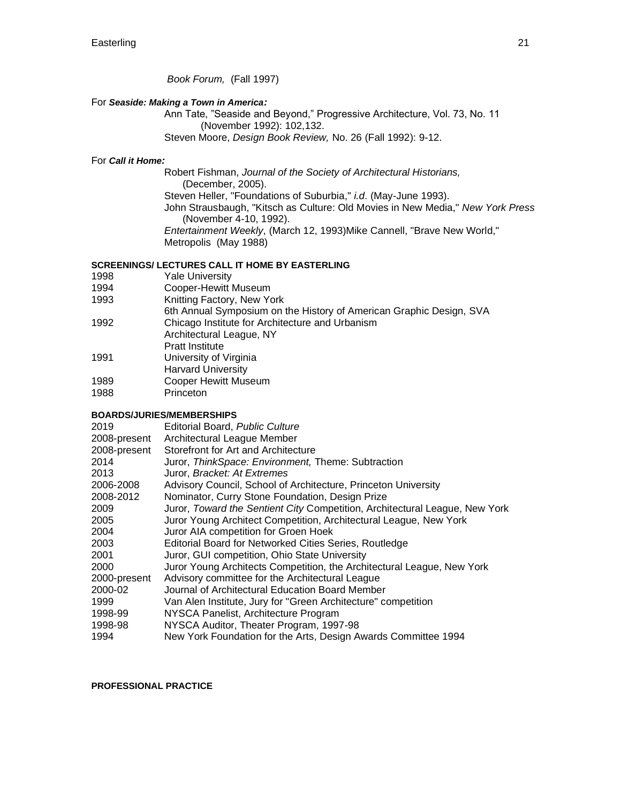*Book Forum,* (Fall 1997)

## For *Seaside: Making a Town in America:*

Ann Tate, "Seaside and Beyond," Progressive Architecture, Vol. 73, No. 11 (November 1992): 102,132. Steven Moore, *Design Book Review,* No. 26 (Fall 1992): 9-12.

## For *Call it Home:*

Robert Fishman, *Journal of the Society of Architectural Historians,*  (December, 2005). Steven Heller, "Foundations of Suburbia," *i.d*. (May-June 1993). John Strausbaugh, "Kitsch as Culture: Old Movies in New Media," *New York Press*  (November 4-10, 1992). *Entertainment Weekly*, (March 12, 1993)Mike Cannell, "Brave New World," Metropolis (May 1988)

## **SCREENINGS/ LECTURES CALL IT HOME BY EASTERLING**

- 1998 Yale University
- 1994 Cooper-Hewitt Museum
- 1993 Knitting Factory, New York
- 6th Annual Symposium on the History of American Graphic Design, SVA
- 1992 Chicago Institute for Architecture and Urbanism
- Architectural League, NY
- Pratt Institute
- 1991 University of Virginia
- Harvard University
- 1989 Cooper Hewitt Museum<br>1988 Princeton
- Princeton

# **BOARDS/JURIES/MEMBERSHIPS**

| 2019         | Editorial Board, Public Culture                                             |
|--------------|-----------------------------------------------------------------------------|
| 2008-present | Architectural League Member                                                 |
| 2008-present | Storefront for Art and Architecture                                         |
| 2014         | Juror, ThinkSpace: Environment, Theme: Subtraction                          |
| 2013         | Juror, Bracket: At Extremes                                                 |
| 2006-2008    | Advisory Council, School of Architecture, Princeton University              |
| 2008-2012    | Nominator, Curry Stone Foundation, Design Prize                             |
| 2009         | Juror, Toward the Sentient City Competition, Architectural League, New York |
| 2005         | Juror Young Architect Competition, Architectural League, New York           |
| 2004         | Juror AIA competition for Groen Hoek                                        |
| 2003         | Editorial Board for Networked Cities Series, Routledge                      |
| 2001         | Juror, GUI competition, Ohio State University                               |
| 2000         | Juror Young Architects Competition, the Architectural League, New York      |
| 2000-present | Advisory committee for the Architectural League                             |
| 2000-02      | Journal of Architectural Education Board Member                             |
| 1999         | Van Alen Institute, Jury for "Green Architecture" competition               |
| 1998-99      | NYSCA Panelist, Architecture Program                                        |
| 1998-98      | NYSCA Auditor, Theater Program, 1997-98                                     |
| 1994         | New York Foundation for the Arts, Design Awards Committee 1994              |

#### **PROFESSIONAL PRACTICE**